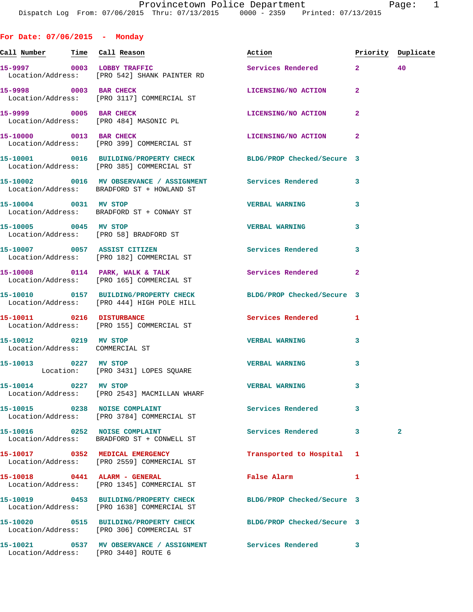**Call Number Time Call Reason Action Priority Duplicate**

**15-9997 0003 LOBBY TRAFFIC Services Rendered 2 40** 

 Location/Address: [PRO 542] SHANK PAINTER RD **15-9998 0003 BAR CHECK LICENSING/NO ACTION 2**  Location/Address: [PRO 3117] COMMERCIAL ST **15-9999 0005 BAR CHECK LICENSING/NO ACTION 2**  Location/Address: [PRO 484] MASONIC PL **15-10000 0013 BAR CHECK LICENSING/NO ACTION 2**  Location/Address: [PRO 399] COMMERCIAL ST **15-10001 0016 BUILDING/PROPERTY CHECK BLDG/PROP Checked/Secure 3**  Location/Address: [PRO 385] COMMERCIAL ST **15-10002 0016 MV OBSERVANCE / ASSIGNMENT Services Rendered 3**  Location/Address: BRADFORD ST + HOWLAND ST **15-10004 0031 MV STOP VERBAL WARNING 3**  Location/Address: BRADFORD ST + CONWAY ST **15-10005 0045 MV STOP VERBAL WARNING 3**  Location/Address: [PRO 58] BRADFORD ST **15-10007 0057 ASSIST CITIZEN Services Rendered 3**  Location/Address: [PRO 182] COMMERCIAL ST 15-10008 0114 PARK, WALK & TALK **Services Rendered** 2 Location/Address: [PRO 165] COMMERCIAL ST **15-10010 0157 BUILDING/PROPERTY CHECK BLDG/PROP Checked/Secure 3**  Location/Address: [PRO 444] HIGH POLE HILL **15-10011 0216 DISTURBANCE Services Rendered 1**  Location/Address: [PRO 155] COMMERCIAL ST **15-10012 0219 MV STOP VERBAL WARNING 3**  Location/Address: COMMERCIAL ST **15-10013 0227 MV STOP VERBAL WARNING 3**  Location: [PRO 3431] LOPES SQUARE **15-10014 0227 MV STOP VERBAL WARNING 3**  Location/Address: [PRO 2543] MACMILLAN WHARF 15-10015 0238 NOISE COMPLAINT **15-10015** Services Rendered 3

**For Date: 07/06/2015 - Monday**

**15-10016 0252 NOISE COMPLAINT Services Rendered 3 2** 

**15-10017 0352 MEDICAL EMERGENCY Transported to Hospital 1**  Location/Address: [PRO 2559] COMMERCIAL ST

**15-10018 0441 ALARM - GENERAL False Alarm 1**  Location/Address: [PRO 1345] COMMERCIAL ST

Location/Address: [PRO 1638] COMMERCIAL ST

Location/Address: [PRO 306] COMMERCIAL ST

**15-10021 0537 MV OBSERVANCE / ASSIGNMENT Services Rendered 3**  Location/Address: [PRO 3440] ROUTE 6

Location/Address: BRADFORD ST + CONWELL ST

Location/Address: [PRO 3784] COMMERCIAL ST

**15-10019 0453 BUILDING/PROPERTY CHECK BLDG/PROP Checked/Secure 3** 

**15-10020 0515 BUILDING/PROPERTY CHECK BLDG/PROP Checked/Secure 3**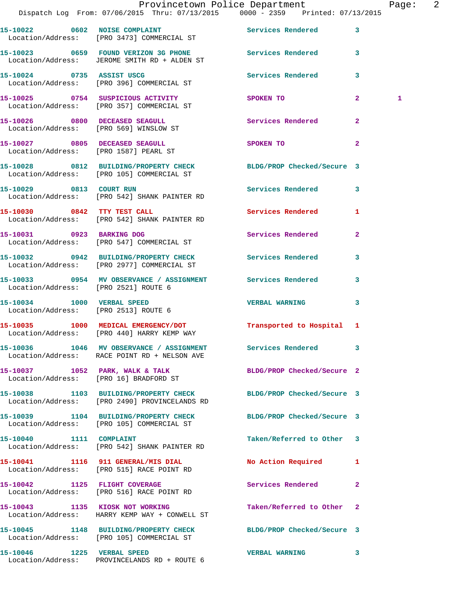|                                                                    | Provincetown Police Department<br>Dispatch Log From: 07/06/2015 Thru: 07/13/2015 0000 - 2359 Printed: 07/13/2015  |                            |              | Page: 2 |  |
|--------------------------------------------------------------------|-------------------------------------------------------------------------------------------------------------------|----------------------------|--------------|---------|--|
|                                                                    | 15-10022 0602 NOISE COMPLAINT Services Rendered 3<br>Location/Address: [PRO 3473] COMMERCIAL ST                   |                            |              |         |  |
|                                                                    | 15-10023 0659 FOUND VERIZON 3G PHONE Services Rendered 3<br>Location/Address: JEROME SMITH RD + ALDEN ST          |                            |              |         |  |
|                                                                    | 15-10024 0735 ASSIST USCG<br>Location/Address: [PRO 396] COMMERCIAL ST                                            | Services Rendered 3        |              |         |  |
|                                                                    | 15-10025 0754 SUSPICIOUS ACTIVITY<br>Location/Address: [PRO 357] COMMERCIAL ST                                    | SPOKEN TO                  | $\mathbf{2}$ | 1       |  |
|                                                                    | 15-10026 0800 DECEASED SEAGULL<br>Location/Address: [PRO 569] WINSLOW ST                                          | Services Rendered          | $\mathbf{2}$ |         |  |
|                                                                    | 15-10027 0805 DECEASED SEAGULL<br>Location/Address: [PRO 1587] PEARL ST                                           | SPOKEN TO                  | $\mathbf{2}$ |         |  |
|                                                                    | 15-10028 0812 BUILDING/PROPERTY CHECK BLDG/PROP Checked/Secure 3<br>Location/Address: [PRO 105] COMMERCIAL ST     |                            |              |         |  |
|                                                                    | 15-10029 0813 COURT RUN<br>Location/Address: [PRO 542] SHANK PAINTER RD                                           | Services Rendered 3        |              |         |  |
|                                                                    | 15-10030 0842 TTY TEST CALL<br>Location/Address: [PRO 542] SHANK PAINTER RD                                       | Services Rendered 1        |              |         |  |
|                                                                    | 15-10031 0923 BARKING DOG<br>Location/Address: [PRO 547] COMMERCIAL ST                                            | Services Rendered          | $\mathbf{2}$ |         |  |
|                                                                    | 15-10032 0942 BUILDING/PROPERTY CHECK Services Rendered 3<br>Location/Address: [PRO 2977] COMMERCIAL ST           |                            |              |         |  |
| Location/Address: [PRO 2521] ROUTE 6                               | 15-10033 0954 MV OBSERVANCE / ASSIGNMENT Services Rendered 3                                                      |                            |              |         |  |
| 15-10034 1000 VERBAL SPEED<br>Location/Address: [PRO 2513] ROUTE 6 |                                                                                                                   | <b>VERBAL WARNING</b>      | $\mathbf{3}$ |         |  |
|                                                                    | 15-10035 1000 MEDICAL EMERGENCY/DOT Transported to Hospital 1<br>Location/Address: [PRO 440] HARRY KEMP WAY       |                            |              |         |  |
|                                                                    | 15-10036 1046 MV OBSERVANCE / ASSIGNMENT Services Rendered 3<br>Location/Address: RACE POINT RD + NELSON AVE      |                            |              |         |  |
|                                                                    | 15-10037 1052 PARK, WALK & TALK<br>Location/Address: [PRO 16] BRADFORD ST                                         | BLDG/PROP Checked/Secure 2 |              |         |  |
|                                                                    | 15-10038 1103 BUILDING/PROPERTY CHECK BLDG/PROP Checked/Secure 3<br>Location/Address: [PRO 2490] PROVINCELANDS RD |                            |              |         |  |
|                                                                    | 15-10039 1104 BUILDING/PROPERTY CHECK BLDG/PROP Checked/Secure 3<br>Location/Address: [PRO 105] COMMERCIAL ST     |                            |              |         |  |
| 15-10040 1111 COMPLAINT                                            | Location/Address: [PRO 542] SHANK PAINTER RD                                                                      | Taken/Referred to Other 3  |              |         |  |
|                                                                    | 15-10041 1116 911 GENERAL/MIS DIAL<br>Location/Address: [PRO 515] RACE POINT RD                                   | No Action Required 1       |              |         |  |
|                                                                    | 15-10042 1125 FLIGHT COVERAGE<br>Location/Address: [PRO 516] RACE POINT RD                                        | Services Rendered          | $\mathbf{2}$ |         |  |
|                                                                    | 15-10043 1135 KIOSK NOT WORKING<br>Location/Address: HARRY KEMP WAY + CONWELL ST                                  | Taken/Referred to Other 2  |              |         |  |
|                                                                    | 15-10045 1148 BUILDING/PROPERTY CHECK BLDG/PROP Checked/Secure 3<br>Location/Address: [PRO 105] COMMERCIAL ST     |                            |              |         |  |
|                                                                    |                                                                                                                   | <b>VERBAL WARNING</b>      | 3            |         |  |

Location/Address: PROVINCELANDS RD + ROUTE 6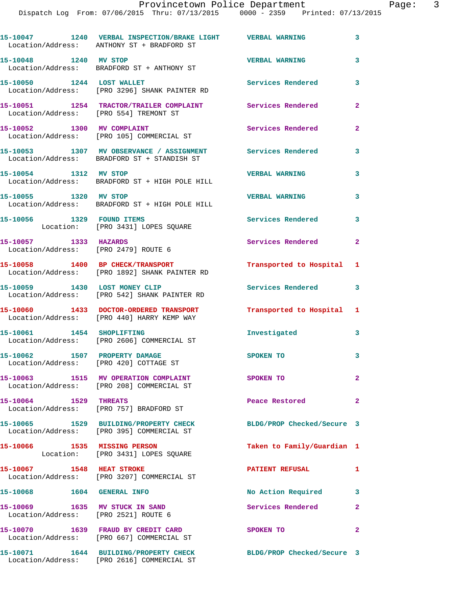|                                                                         | 15-10047 1240 VERBAL INSPECTION/BRAKE LIGHT VERBAL WARNING<br>Location/Address: ANTHONY ST + BRADFORD ST  |                            | 3              |
|-------------------------------------------------------------------------|-----------------------------------------------------------------------------------------------------------|----------------------------|----------------|
| 15-10048 1240 MV STOP                                                   | Location/Address: BRADFORD ST + ANTHONY ST                                                                | <b>VERBAL WARNING</b>      | 3              |
| 15-10050 1244 LOST WALLET                                               | Location/Address: [PRO 3296] SHANK PAINTER RD                                                             | <b>Services Rendered</b>   | 3              |
| Location/Address: [PRO 554] TREMONT ST                                  | 15-10051 1254 TRACTOR/TRAILER COMPLAINT Services Rendered                                                 |                            | $\overline{a}$ |
| 15-10052 1300 MV COMPLAINT                                              | Location/Address: [PRO 105] COMMERCIAL ST                                                                 | Services Rendered          | 2              |
|                                                                         | 15-10053 1307 MV OBSERVANCE / ASSIGNMENT Services Rendered<br>Location/Address: BRADFORD ST + STANDISH ST |                            | 3              |
|                                                                         | 15-10054 1312 MV STOP<br>Location/Address: BRADFORD ST + HIGH POLE HILL                                   | <b>VERBAL WARNING</b>      | 3              |
| 15-10055 1320 MV STOP                                                   | Location/Address: BRADFORD ST + HIGH POLE HILL                                                            | <b>VERBAL WARNING</b>      | 3              |
| 15-10056 1329 FOUND ITEMS                                               | Location: [PRO 3431] LOPES SQUARE                                                                         | <b>Services Rendered</b>   | 3              |
| 15-10057 1333 HAZARDS<br>Location/Address: [PRO 2479] ROUTE 6           |                                                                                                           | Services Rendered          | 2              |
|                                                                         | 15-10058 1400 BP CHECK/TRANSPORT<br>Location/Address: [PRO 1892] SHANK PAINTER RD                         | Transported to Hospital    | 1              |
|                                                                         | 15-10059 1430 LOST MONEY CLIP<br>Location/Address: [PRO 542] SHANK PAINTER RD                             | <b>Services Rendered</b>   | 3              |
|                                                                         | 15-10060 1433 DOCTOR-ORDERED TRANSPORT<br>Location/Address: [PRO 440] HARRY KEMP WAY                      | Transported to Hospital    | 1              |
|                                                                         | 15-10061 1454 SHOPLIFTING<br>Location/Address: [PRO 2606] COMMERCIAL ST                                   | Investigated               | 3              |
| 15-10062 1507 PROPERTY DAMAGE<br>Location/Address: [PRO 420] COTTAGE ST |                                                                                                           | SPOKEN TO                  | 3              |
|                                                                         | 15-10063 1515 MV OPERATION COMPLAINT<br>Location/Address: [PRO 208] COMMERCIAL ST                         | SPOKEN TO                  | 2              |
|                                                                         | 15-10064 1529 THREATS<br>Location/Address: [PRO 757] BRADFORD ST                                          | Peace Restored             | 2              |
|                                                                         | 15-10065 1529 BUILDING/PROPERTY CHECK<br>Location/Address: [PRO 395] COMMERCIAL ST                        | BLDG/PROP Checked/Secure 3 |                |
| 15-10066 1535 MISSING PERSON                                            | Location: [PRO 3431] LOPES SQUARE                                                                         | Taken to Family/Guardian 1 |                |
| 15-10067 1548 HEAT STROKE                                               | Location/Address: [PRO 3207] COMMERCIAL ST                                                                | <b>PATIENT REFUSAL</b>     | 1              |
| 15-10068 1604 GENERAL INFO                                              |                                                                                                           | No Action Required         | 3              |
| 15-10069 1635 MV STUCK IN SAND<br>Location/Address: [PRO 2521] ROUTE 6  |                                                                                                           | Services Rendered          | 2              |
|                                                                         | 15-10070 1639 FRAUD BY CREDIT CARD<br>Location/Address: [PRO 667] COMMERCIAL ST                           | SPOKEN TO                  | $\overline{a}$ |
|                                                                         | 15-10071 1644 BUILDING/PROPERTY CHECK<br>Location/Address: [PRO 2616] COMMERCIAL ST                       | BLDG/PROP Checked/Secure 3 |                |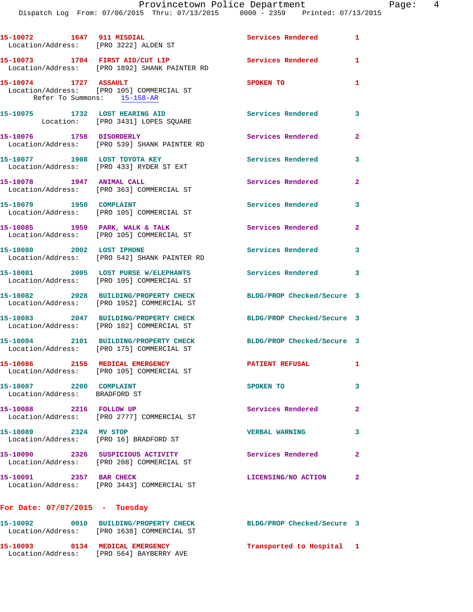Dispatch Log From: 07/06/2015 Thru: 07/13/2015 0000 - 2359 Printed: 07/13/2015

| 15-10072 1647 911 MISDIAL                                | Location/Address: [PRO 3222] ALDEN ST                                               | <b>Services Rendered</b>   | $\mathbf{1}$   |
|----------------------------------------------------------|-------------------------------------------------------------------------------------|----------------------------|----------------|
|                                                          | 15-10073 1704 FIRST AID/CUT LIP<br>Location/Address: [PRO 1892] SHANK PAINTER RD    | <b>Services Rendered</b>   | $\mathbf{1}$   |
| 15-10074 1727 ASSAULT                                    | Location/Address: [PRO 105] COMMERCIAL ST<br>Refer To Summons: 15-158-AR            | SPOKEN TO                  | 1              |
| 15-10075 1732 LOST HEARING AID                           | Location: [PRO 3431] LOPES SQUARE                                                   | Services Rendered          | 3              |
|                                                          | 15-10076 1758 DISORDERLY<br>Location/Address: [PRO 539] SHANK PAINTER RD            | Services Rendered          | $\mathbf{2}$   |
| 15-10077 1908 LOST TOYOTA KEY                            | Location/Address: [PRO 433] RYDER ST EXT                                            | Services Rendered          | 3              |
| 15-10078 1947 ANIMAL CALL                                | Location/Address: [PRO 363] COMMERCIAL ST                                           | Services Rendered          | $\overline{2}$ |
| 15-10079 1950 COMPLAINT                                  | Location/Address: [PRO 105] COMMERCIAL ST                                           | Services Rendered          | 3              |
|                                                          | 15-10085 1959 PARK, WALK & TALK<br>Location/Address: [PRO 105] COMMERCIAL ST        | Services Rendered          | $\mathbf{2}$   |
| 15-10080 2002 LOST IPHONE                                | Location/Address: [PRO 542] SHANK PAINTER RD                                        | Services Rendered          | 3              |
|                                                          | 15-10081 2005 LOST PURSE W/ELEPHANTS<br>Location/Address: [PRO 105] COMMERCIAL ST   | <b>Services Rendered</b>   | 3              |
|                                                          | 15-10082 2028 BUILDING/PROPERTY CHECK<br>Location/Address: [PRO 1952] COMMERCIAL ST | BLDG/PROP Checked/Secure 3 |                |
|                                                          | 15-10083 2047 BUILDING/PROPERTY CHECK<br>Location/Address: [PRO 182] COMMERCIAL ST  | BLDG/PROP Checked/Secure 3 |                |
|                                                          | 15-10084 2101 BUILDING/PROPERTY CHECK<br>Location/Address: [PRO 175] COMMERCIAL ST  | BLDG/PROP Checked/Secure 3 |                |
| 15-10086 2155 MEDICAL EMERGENCY                          | Location/Address: [PRO 105] COMMERCIAL ST                                           | <b>PATIENT REFUSAL</b>     | 1              |
| 15-10087 2200 COMPLAINT<br>Location/Address: BRADFORD ST |                                                                                     | SPOKEN TO                  | 3              |
| 15-10088 2216 FOLLOW UP                                  | Location/Address: [PRO 2777] COMMERCIAL ST                                          | Services Rendered          | $\mathbf{2}$   |
| 15-10089 2324 MV STOP                                    | Location/Address: [PRO 16] BRADFORD ST                                              | <b>VERBAL WARNING</b>      | 3              |
|                                                          | 15-10090 2326 SUSPICIOUS ACTIVITY<br>Location/Address: [PRO 208] COMMERCIAL ST      | Services Rendered          | $\mathbf{2}$   |
| 15-10091 2357 BAR CHECK                                  | Location/Address: [PRO 3443] COMMERCIAL ST                                          | LICENSING/NO ACTION        | $\mathbf{2}$   |
| For Date: $07/07/2015$ - Tuesday                         |                                                                                     |                            |                |
|                                                          | 15-10092 0010 BUILDING/PROPERTY CHECK<br>Location/Address: [PRO 1638] COMMERCIAL ST | BLDG/PROP Checked/Secure 3 |                |
|                                                          | 15-10093 0134 MEDICAL EMERGENCY<br>Location/Address: [PRO 564] BAYBERRY AVE         | Transported to Hospital 1  |                |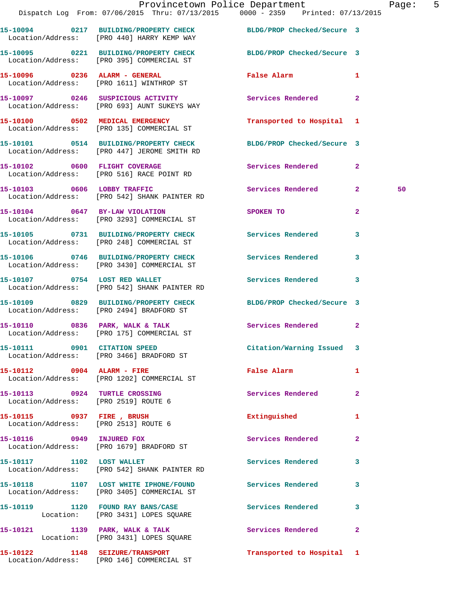|                                                                       | Dispatch Log From: 07/06/2015 Thru: 07/13/2015 0000 - 2359 Printed: 07/13/2015                                  | Provincetown Police Department Page: 5      |              |    |  |
|-----------------------------------------------------------------------|-----------------------------------------------------------------------------------------------------------------|---------------------------------------------|--------------|----|--|
|                                                                       | 15-10094 0217 BUILDING/PROPERTY CHECK BLDG/PROP Checked/Secure 3<br>Location/Address: [PRO 440] HARRY KEMP WAY  |                                             |              |    |  |
|                                                                       | 15-10095 0221 BUILDING/PROPERTY CHECK BLDG/PROP Checked/Secure 3<br>Location/Address: [PRO 395] COMMERCIAL ST   |                                             |              |    |  |
|                                                                       | 15-10096 0236 ALARM - GENERAL<br>Location/Address: [PRO 1611] WINTHROP ST                                       | False Alarm <b>Exercise Service Service</b> | $\mathbf{1}$ |    |  |
|                                                                       | 15-10097 0246 SUSPICIOUS ACTIVITY 6 Services Rendered 2<br>Location/Address: [PRO 693] AUNT SUKEYS WAY          |                                             |              |    |  |
|                                                                       | 15-10100 0502 MEDICAL EMERGENCY<br>Location/Address: [PRO 135] COMMERCIAL ST                                    | Transported to Hospital 1                   |              |    |  |
|                                                                       | 15-10101 0514 BUILDING/PROPERTY CHECK BLDG/PROP Checked/Secure 3<br>Location/Address: [PRO 447] JEROME SMITH RD |                                             |              |    |  |
|                                                                       | 15-10102 0600 FLIGHT COVERAGE<br>Location/Address: [PRO 516] RACE POINT RD                                      | Services Rendered 2                         |              |    |  |
|                                                                       | 15-10103 0606 LOBBY TRAFFIC<br>Location/Address: [PRO 542] SHANK PAINTER RD                                     | Services Rendered 2                         |              | 50 |  |
|                                                                       | 15-10104 0647 BY-LAW VIOLATION<br>Location/Address: [PRO 3293] COMMERCIAL ST                                    | SPOKEN TO                                   | $\mathbf{2}$ |    |  |
|                                                                       | 15-10105 0731 BUILDING/PROPERTY CHECK Services Rendered<br>Location/Address: [PRO 248] COMMERCIAL ST            |                                             | 3            |    |  |
|                                                                       | 15-10106 0746 BUILDING/PROPERTY CHECK Services Rendered 3<br>Location/Address: [PRO 3430] COMMERCIAL ST         |                                             |              |    |  |
|                                                                       | 15-10107 0754 LOST RED WALLET<br>Location/Address: [PRO 542] SHANK PAINTER RD                                   | Services Rendered                           | 3            |    |  |
|                                                                       | 15-10109 0829 BUILDING/PROPERTY CHECK BLDG/PROP Checked/Secure 3<br>Location/Address: [PRO 2494] BRADFORD ST    |                                             |              |    |  |
|                                                                       | 15-10110 0836 PARK, WALK & TALK<br>Location/Address: [PRO 175] COMMERCIAL ST                                    | Services Rendered 2                         |              |    |  |
|                                                                       | 15-10111 0901 CITATION SPEED<br>Location/Address: [PRO 3466] BRADFORD ST                                        | Citation/Warning Issued 3                   |              |    |  |
|                                                                       | 15-10112 0904 ALARM - FIRE<br>Location/Address: [PRO 1202] COMMERCIAL ST                                        | <b>False Alarm</b>                          | $\mathbf{1}$ |    |  |
| 15-10113 0924 TURTLE CROSSING<br>Location/Address: [PRO 2519] ROUTE 6 |                                                                                                                 | Services Rendered                           | $\mathbf{2}$ |    |  |
| Location/Address: [PRO 2513] ROUTE 6                                  | 15-10115 0937 FIRE, BRUSH                                                                                       | Extinguished                                | 1            |    |  |
|                                                                       | 15-10116 0949 INJURED FOX<br>Location/Address: [PRO 1679] BRADFORD ST                                           | Services Rendered 2                         |              |    |  |
|                                                                       | 15-10117 1102 LOST WALLET<br>Location/Address: [PRO 542] SHANK PAINTER RD                                       | Services Rendered                           | $\mathbf{3}$ |    |  |
|                                                                       | 15-10118 1107 LOST WHITE IPHONE/FOUND Services Rendered 3<br>Location/Address: [PRO 3405] COMMERCIAL ST         |                                             |              |    |  |
|                                                                       | 15-10119 1120 FOUND RAY BANS/CASE Services Rendered<br>Location: [PRO 3431] LOPES SQUARE                        |                                             | $\mathbf{3}$ |    |  |
|                                                                       | 15-10121 1139 PARK, WALK & TALK 1998 Services Rendered 2<br>Location: [PRO 3431] LOPES SQUARE                   |                                             |              |    |  |
|                                                                       | 15-10122 1148 SEIZURE/TRANSPORT<br>Location/Address: [PRO 146] COMMERCIAL ST                                    | Transported to Hospital 1                   |              |    |  |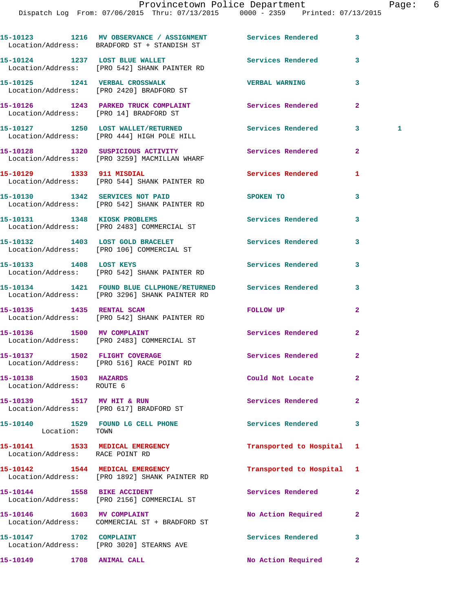|                                                    | 15-10123 1216 MV OBSERVANCE / ASSIGNMENT Services Rendered<br>Location/Address: BRADFORD ST + STANDISH ST     |                          | 3              |
|----------------------------------------------------|---------------------------------------------------------------------------------------------------------------|--------------------------|----------------|
|                                                    | 15-10124 1237 LOST BLUE WALLET<br>Location/Address: [PRO 542] SHANK PAINTER RD                                | Services Rendered        | 3              |
|                                                    | 15-10125 1241 VERBAL CROSSWALK<br>Location/Address: [PRO 2420] BRADFORD ST                                    | <b>VERBAL WARNING</b>    | 3              |
|                                                    | 15-10126 1243 PARKED TRUCK COMPLAINT<br>Location/Address: [PRO 14] BRADFORD ST                                | <b>Services Rendered</b> | $\overline{a}$ |
|                                                    | 15-10127 1250 LOST WALLET/RETURNED Services Rendered<br>Location/Address: [PRO 444] HIGH POLE HILL            |                          | 3<br>1.        |
|                                                    | 15-10128 1320 SUSPICIOUS ACTIVITY<br>Location/Address: [PRO 3259] MACMILLAN WHARF                             | <b>Services Rendered</b> | $\overline{a}$ |
| 15-10129 1333 911 MISDIAL                          | Location/Address: [PRO 544] SHANK PAINTER RD                                                                  | Services Rendered        | 1              |
|                                                    | 15-10130 1342 SERVICES NOT PAID<br>Location/Address: [PRO 542] SHANK PAINTER RD                               | SPOKEN TO                | 3              |
|                                                    | 15-10131 1348 KIOSK PROBLEMS<br>Location/Address: [PRO 2483] COMMERCIAL ST                                    | Services Rendered        | 3              |
|                                                    | 15-10132 1403 LOST GOLD BRACELET<br>Location/Address: [PRO 106] COMMERCIAL ST                                 | <b>Services Rendered</b> | 3              |
| 15-10133 1408 LOST KEYS                            | Location/Address: [PRO 542] SHANK PAINTER RD                                                                  | Services Rendered        | 3              |
|                                                    | 15-10134 1421 FOUND BLUE CLLPHONE/RETURNED Services Rendered<br>Location/Address: [PRO 3296] SHANK PAINTER RD |                          | 3              |
| 15-10135   1435   RENTAL SCAM                      | Location/Address: [PRO 542] SHANK PAINTER RD                                                                  | FOLLOW UP                | $\mathbf{2}$   |
|                                                    | 15-10136 1500 MV COMPLAINT<br>Location/Address: [PRO 2483] COMMERCIAL ST                                      | <b>Services Rendered</b> | $\overline{2}$ |
|                                                    | 15-10137 1502 FLIGHT COVERAGE<br>Location/Address: [PRO 516] RACE POINT RD                                    | Services Rendered        | $\mathbf{2}$   |
| 15-10138 1503 HAZARDS<br>Location/Address: ROUTE 6 |                                                                                                               | Could Not Locate         | $\overline{a}$ |
|                                                    | 15-10139 1517 MV HIT & RUN<br>Location/Address: [PRO 617] BRADFORD ST                                         | Services Rendered        | $\overline{a}$ |
| Location: TOWN                                     | 15-10140 1529 FOUND LG CELL PHONE                                                                             | <b>Services Rendered</b> | 3              |
| Location/Address: RACE POINT RD                    | 15-10141 1533 MEDICAL EMERGENCY                                                                               | Transported to Hospital  | 1              |
|                                                    | 15-10142 1544 MEDICAL EMERGENCY<br>Location/Address: [PRO 1892] SHANK PAINTER RD                              | Transported to Hospital  | 1              |
| 15-10144 1558 BIKE ACCIDENT                        | Location/Address: [PRO 2156] COMMERCIAL ST                                                                    | Services Rendered        | $\overline{a}$ |
| 15-10146 1603 MV COMPLAINT                         | Location/Address: COMMERCIAL ST + BRADFORD ST                                                                 | No Action Required       | $\mathbf{2}$   |
| 15-10147 1702 COMPLAINT                            | Location/Address: [PRO 3020] STEARNS AVE                                                                      | Services Rendered        | 3              |
| 15-10149 1708 ANIMAL CALL                          |                                                                                                               | No Action Required       | $\mathbf{2}$   |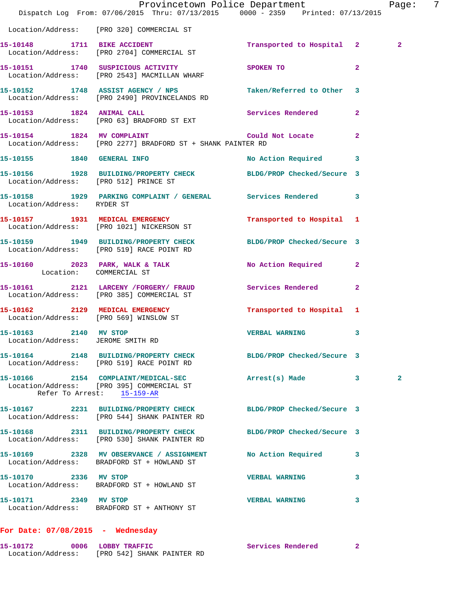|                                                                                       |                       |                                                                                                                                                                                                                    | Page:                                                                                                                                                                                                                                                                                                                                                                                                                                                                                                                                                                                                                                                                                                                                                                                                                                                                                                                                                                                                                                        | 7                                                          |
|---------------------------------------------------------------------------------------|-----------------------|--------------------------------------------------------------------------------------------------------------------------------------------------------------------------------------------------------------------|----------------------------------------------------------------------------------------------------------------------------------------------------------------------------------------------------------------------------------------------------------------------------------------------------------------------------------------------------------------------------------------------------------------------------------------------------------------------------------------------------------------------------------------------------------------------------------------------------------------------------------------------------------------------------------------------------------------------------------------------------------------------------------------------------------------------------------------------------------------------------------------------------------------------------------------------------------------------------------------------------------------------------------------------|------------------------------------------------------------|
| Location/Address: [PRO 320] COMMERCIAL ST                                             |                       |                                                                                                                                                                                                                    |                                                                                                                                                                                                                                                                                                                                                                                                                                                                                                                                                                                                                                                                                                                                                                                                                                                                                                                                                                                                                                              |                                                            |
| Location/Address: [PRO 2704] COMMERCIAL ST                                            |                       |                                                                                                                                                                                                                    | $\overline{2}$                                                                                                                                                                                                                                                                                                                                                                                                                                                                                                                                                                                                                                                                                                                                                                                                                                                                                                                                                                                                                               |                                                            |
| Location/Address: [PRO 2543] MACMILLAN WHARF                                          |                       | $\overline{2}$                                                                                                                                                                                                     |                                                                                                                                                                                                                                                                                                                                                                                                                                                                                                                                                                                                                                                                                                                                                                                                                                                                                                                                                                                                                                              |                                                            |
| Location/Address: [PRO 2490] PROVINCELANDS RD                                         |                       |                                                                                                                                                                                                                    |                                                                                                                                                                                                                                                                                                                                                                                                                                                                                                                                                                                                                                                                                                                                                                                                                                                                                                                                                                                                                                              |                                                            |
| 15-10153 1824 ANIMAL CALL<br>Location/Address: [PRO 63] BRADFORD ST EXT               |                       |                                                                                                                                                                                                                    |                                                                                                                                                                                                                                                                                                                                                                                                                                                                                                                                                                                                                                                                                                                                                                                                                                                                                                                                                                                                                                              |                                                            |
|                                                                                       |                       |                                                                                                                                                                                                                    |                                                                                                                                                                                                                                                                                                                                                                                                                                                                                                                                                                                                                                                                                                                                                                                                                                                                                                                                                                                                                                              |                                                            |
| 15-10155 1840 GENERAL INFO                                                            |                       |                                                                                                                                                                                                                    |                                                                                                                                                                                                                                                                                                                                                                                                                                                                                                                                                                                                                                                                                                                                                                                                                                                                                                                                                                                                                                              |                                                            |
| Location/Address: [PRO 512] PRINCE ST                                                 |                       |                                                                                                                                                                                                                    |                                                                                                                                                                                                                                                                                                                                                                                                                                                                                                                                                                                                                                                                                                                                                                                                                                                                                                                                                                                                                                              |                                                            |
|                                                                                       |                       |                                                                                                                                                                                                                    |                                                                                                                                                                                                                                                                                                                                                                                                                                                                                                                                                                                                                                                                                                                                                                                                                                                                                                                                                                                                                                              |                                                            |
| 15-10157 1931 MEDICAL EMERGENCY<br>Location/Address: [PRO 1021] NICKERSON ST          |                       |                                                                                                                                                                                                                    |                                                                                                                                                                                                                                                                                                                                                                                                                                                                                                                                                                                                                                                                                                                                                                                                                                                                                                                                                                                                                                              |                                                            |
|                                                                                       |                       |                                                                                                                                                                                                                    |                                                                                                                                                                                                                                                                                                                                                                                                                                                                                                                                                                                                                                                                                                                                                                                                                                                                                                                                                                                                                                              |                                                            |
| Location: COMMERCIAL ST                                                               |                       |                                                                                                                                                                                                                    |                                                                                                                                                                                                                                                                                                                                                                                                                                                                                                                                                                                                                                                                                                                                                                                                                                                                                                                                                                                                                                              |                                                            |
| Location/Address: [PRO 385] COMMERCIAL ST                                             |                       |                                                                                                                                                                                                                    |                                                                                                                                                                                                                                                                                                                                                                                                                                                                                                                                                                                                                                                                                                                                                                                                                                                                                                                                                                                                                                              |                                                            |
| Location/Address: [PRO 569] WINSLOW ST                                                |                       |                                                                                                                                                                                                                    |                                                                                                                                                                                                                                                                                                                                                                                                                                                                                                                                                                                                                                                                                                                                                                                                                                                                                                                                                                                                                                              |                                                            |
| 15-10163 2140 MV STOP<br>Location/Address: JEROME SMITH RD                            |                       | $\mathbf{3}$                                                                                                                                                                                                       |                                                                                                                                                                                                                                                                                                                                                                                                                                                                                                                                                                                                                                                                                                                                                                                                                                                                                                                                                                                                                                              |                                                            |
| Location/Address: [PRO 519] RACE POINT RD                                             |                       |                                                                                                                                                                                                                    |                                                                                                                                                                                                                                                                                                                                                                                                                                                                                                                                                                                                                                                                                                                                                                                                                                                                                                                                                                                                                                              |                                                            |
| Location/Address: [PRO 395] COMMERCIAL ST<br>Refer To Arrest: 15-159-AR               |                       |                                                                                                                                                                                                                    | 2                                                                                                                                                                                                                                                                                                                                                                                                                                                                                                                                                                                                                                                                                                                                                                                                                                                                                                                                                                                                                                            |                                                            |
| Location/Address: [PRO 544] SHANK PAINTER RD                                          |                       |                                                                                                                                                                                                                    |                                                                                                                                                                                                                                                                                                                                                                                                                                                                                                                                                                                                                                                                                                                                                                                                                                                                                                                                                                                                                                              |                                                            |
| 15-10168 2311 BUILDING/PROPERTY CHECK<br>Location/Address: [PRO 530] SHANK PAINTER RD |                       |                                                                                                                                                                                                                    |                                                                                                                                                                                                                                                                                                                                                                                                                                                                                                                                                                                                                                                                                                                                                                                                                                                                                                                                                                                                                                              |                                                            |
| Location/Address: BRADFORD ST + HOWLAND ST                                            |                       | 3                                                                                                                                                                                                                  |                                                                                                                                                                                                                                                                                                                                                                                                                                                                                                                                                                                                                                                                                                                                                                                                                                                                                                                                                                                                                                              |                                                            |
| 15-10170 2336 MV STOP<br>Location/Address: BRADFORD ST + HOWLAND ST                   | <b>VERBAL WARNING</b> |                                                                                                                                                                                                                    |                                                                                                                                                                                                                                                                                                                                                                                                                                                                                                                                                                                                                                                                                                                                                                                                                                                                                                                                                                                                                                              |                                                            |
| 15-10171 2349 MV STOP<br>Location/Address: BRADFORD ST + ANTHONY ST                   |                       | 3                                                                                                                                                                                                                  |                                                                                                                                                                                                                                                                                                                                                                                                                                                                                                                                                                                                                                                                                                                                                                                                                                                                                                                                                                                                                                              |                                                            |
|                                                                                       |                       | 15-10151 1740 SUSPICIOUS ACTIVITY SPOKEN TO<br>Location/Address: [PRO 2277] BRADFORD ST + SHANK PAINTER RD<br>15-10162 2129 MEDICAL EMERGENCY<br>15-10169 2328 MV OBSERVANCE / ASSIGNMENT<br><b>VERBAL WARNING</b> | Provincetown Police Department<br>Dispatch Log From: 07/06/2015 Thru: 07/13/2015 0000 - 2359 Printed: 07/13/2015<br>15-10152 1748 ASSIST AGENCY / NPS Taken/Referred to Other 3<br>Services Rendered 2<br>15-10154 1824 MV COMPLAINT Could Not Locate 2<br>No Action Required 3<br>15-10156 1928 BUILDING/PROPERTY CHECK BLDG/PROP Checked/Secure 3<br>15-10158 1929 PARKING COMPLAINT / GENERAL Services Rendered 3<br>Location/Address: RYDER ST<br>Transported to Hospital 1<br>15-10159 1949 BUILDING/PROPERTY CHECK BLDG/PROP Checked/Secure 3<br>Location/Address: [PRO 519] RACE POINT RD<br>15-10160 2023 PARK, WALK & TALK NO Action Required 2<br>15-10161 2121 LARCENY /FORGERY / FRAUD Services Rendered 2<br>Transported to Hospital 1<br><b>VERBAL WARNING</b><br>15-10164 2148 BUILDING/PROPERTY CHECK BLDG/PROP Checked/Secure 3<br>15-10166 2154 COMPLAINT/MEDICAL-SEC Arrest(s) Made 3<br>15-10167 2231 BUILDING/PROPERTY CHECK BLDG/PROP Checked/Secure 3<br>BLDG/PROP Checked/Secure 3<br>No Action Required<br>$\sim$ 3 | 15-10148 1711 BIKE ACCIDENT 1711 Transported to Hospital 2 |

**15-10172 0006 LOBBY TRAFFIC Services Rendered 2**  Location/Address: [PRO 542] SHANK PAINTER RD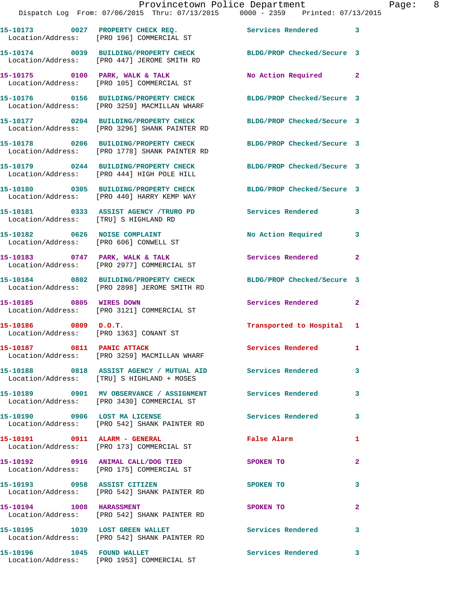|                                        | 15-10173 0027 PROPERTY CHECK REQ.<br>Location/Address: [PRO 196] COMMERCIAL ST                           | Services Rendered 3        |                |
|----------------------------------------|----------------------------------------------------------------------------------------------------------|----------------------------|----------------|
|                                        | 15-10174 0039 BUILDING/PROPERTY CHECK<br>Location/Address: [PRO 447] JEROME SMITH RD                     | BLDG/PROP Checked/Secure 3 |                |
|                                        | 15-10175 0100 PARK, WALK & TALK<br>Location/Address: [PRO 105] COMMERCIAL ST                             | No Action Required         | $\mathbf{2}$   |
|                                        | 15-10176 0156 BUILDING/PROPERTY CHECK<br>Location/Address: [PRO 3259] MACMILLAN WHARF                    | BLDG/PROP Checked/Secure 3 |                |
|                                        | 15-10177 0204 BUILDING/PROPERTY CHECK<br>Location/Address: [PRO 3296] SHANK PAINTER RD                   | BLDG/PROP Checked/Secure 3 |                |
|                                        | 15-10178 0206 BUILDING/PROPERTY CHECK<br>Location/Address: [PRO 1778] SHANK PAINTER RD                   | BLDG/PROP Checked/Secure 3 |                |
|                                        | 15-10179 0244 BUILDING/PROPERTY CHECK<br>Location/Address: [PRO 444] HIGH POLE HILL                      | BLDG/PROP Checked/Secure 3 |                |
|                                        | 15-10180 0305 BUILDING/PROPERTY CHECK<br>Location/Address: [PRO 440] HARRY KEMP WAY                      | BLDG/PROP Checked/Secure 3 |                |
| Location/Address: [TRU] S HIGHLAND RD  | 15-10181 0333 ASSIST AGENCY /TRURO PD                                                                    | <b>Services Rendered</b>   | 3              |
| Location/Address: [PRO 606] CONWELL ST | 15-10182 0626 NOISE COMPLAINT                                                                            | No Action Required         | 3              |
|                                        | 15-10183 0747 PARK, WALK & TALK<br>Location/Address: [PRO 2977] COMMERCIAL ST                            | Services Rendered          | $\overline{2}$ |
|                                        | 15-10184 0802 BUILDING/PROPERTY CHECK<br>Location/Address: [PRO 2898] JEROME SMITH RD                    | BLDG/PROP Checked/Secure 3 |                |
| 15-10185 0805 WIRES DOWN               | Location/Address: [PRO 3121] COMMERCIAL ST                                                               | Services Rendered          | $\mathbf{2}$   |
| 15-10186 0809 D.O.T.                   | Location/Address: [PRO 1363] CONANT ST                                                                   | Transported to Hospital 1  |                |
| 15-10187 0811 PANIC ATTACK             | Location/Address: [PRO 3259] MACMILLAN WHARF                                                             | Services Rendered 1        |                |
|                                        | 15-10188 0818 ASSIST AGENCY / MUTUAL AID Services Rendered<br>Location/Address: [TRU] S HIGHLAND + MOSES |                            | 3              |
|                                        | 15-10189 0901 MV OBSERVANCE / ASSIGNMENT Services Rendered<br>Location/Address: [PRO 3430] COMMERCIAL ST |                            | $\mathbf{3}$   |
|                                        | 15-10190 0906 LOST MA LICENSE<br>Location/Address: [PRO 542] SHANK PAINTER RD                            | <b>Services Rendered</b>   | 3              |
| 15-10191 0911 ALARM - GENERAL          | Location/Address: [PRO 173] COMMERCIAL ST                                                                | False Alarm                | 1              |
|                                        | 15-10192 0916 ANIMAL CALL/DOG TIED<br>Location/Address: [PRO 175] COMMERCIAL ST                          | SPOKEN TO                  | $\mathbf{2}$   |
| 15-10193 0958 ASSIST CITIZEN           | Location/Address: [PRO 542] SHANK PAINTER RD                                                             | SPOKEN TO                  | 3              |
| 15-10194 1008 HARASSMENT               | Location/Address: [PRO 542] SHANK PAINTER RD                                                             | SPOKEN TO                  | $\mathbf{2}$   |
| 15-10195 1039 LOST GREEN WALLET        | Location/Address: [PRO 542] SHANK PAINTER RD                                                             | <b>Services Rendered</b>   | 3              |
| 15-10196    1045    FOUND WALLET       |                                                                                                          | Services Rendered 3        |                |

Location/Address: [PRO 1953] COMMERCIAL ST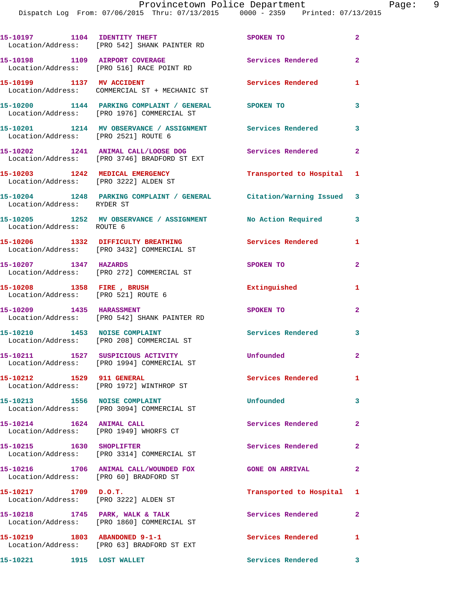Dispatch Log From: 07/06/2015 Thru: 07/13/2015 0000 - 2359 Printed: 07/13/2015

|                                                                         | 15-10197 1104 IDENTITY THEFT<br>Location/Address: [PRO 542] SHANK PAINTER RD        | SPOKEN TO                 | $\mathbf{2}$               |
|-------------------------------------------------------------------------|-------------------------------------------------------------------------------------|---------------------------|----------------------------|
|                                                                         | 15-10198 1109 AIRPORT COVERAGE<br>Location/Address: [PRO 516] RACE POINT RD         | Services Rendered         | $\overline{2}$             |
| 15-10199 1137 MV ACCIDENT                                               | Location/Address: COMMERCIAL ST + MECHANIC ST                                       | Services Rendered         | 1                          |
|                                                                         | Location/Address: [PRO 1976] COMMERCIAL ST                                          |                           | 3                          |
| Location/Address: [PRO 2521] ROUTE 6                                    | 15-10201 1214 MV OBSERVANCE / ASSIGNMENT Services Rendered                          |                           | $\overline{\mathbf{3}}$    |
|                                                                         | 15-10202 1241 ANIMAL CALL/LOOSE DOG<br>Location/Address: [PRO 3746] BRADFORD ST EXT | <b>Services Rendered</b>  | $\overline{\phantom{0}}$ 2 |
|                                                                         | 15-10203 1242 MEDICAL EMERGENCY<br>Location/Address: [PRO 3222] ALDEN ST            | Transported to Hospital 1 |                            |
| Location/Address: RYDER ST                                              | 15-10204 1248 PARKING COMPLAINT / GENERAL Citation/Warning Issued 3                 |                           |                            |
| Location/Address: ROUTE 6                                               | 15-10205 1252 MV OBSERVANCE / ASSIGNMENT                                            | No Action Required        | 3                          |
|                                                                         | 15-10206 1332 DIFFICULTY BREATHING<br>Location/Address: [PRO 3432] COMMERCIAL ST    | Services Rendered         | 1                          |
| 15-10207 1347 HAZARDS                                                   | Location/Address: [PRO 272] COMMERCIAL ST                                           | SPOKEN TO                 | $\mathbf{2}$               |
| 15-10208 1358 FIRE, BRUSH<br>Location/Address: [PRO 521] ROUTE 6        |                                                                                     | Extinguished              | 1                          |
|                                                                         | 15-10209 1435 HARASSMENT<br>Location/Address: [PRO 542] SHANK PAINTER RD            | SPOKEN TO                 | $\mathbf{2}$               |
| 15-10210 1453 NOISE COMPLAINT                                           | Location/Address: [PRO 208] COMMERCIAL ST                                           | <b>Services Rendered</b>  | 3                          |
|                                                                         | 15-10211 1527 SUSPICIOUS ACTIVITY<br>Location/Address: [PRO 1994] COMMERCIAL ST     | Unfounded                 | $\overline{a}$             |
| 15-10212 1529 911 GENERAL                                               | Location/Address: [PRO 1972] WINTHROP ST                                            | <b>Services Rendered</b>  | $\mathbf{1}$               |
| 15-10213 1556 NOISE COMPLAINT                                           | Location/Address: [PRO 3094] COMMERCIAL ST                                          | Unfounded                 | $\mathbf{3}$               |
| 15-10214   1624   ANIMAL CALL<br>Location/Address: [PRO 1949] WHORFS CT |                                                                                     | Services Rendered         | $\mathbf{2}$               |
| 15-10215 1630 SHOPLIFTER                                                | Location/Address: [PRO 3314] COMMERCIAL ST                                          | Services Rendered         | $\mathbf{2}$               |
| Location/Address: [PRO 60] BRADFORD ST                                  | 15-10216 1706 ANIMAL CALL/WOUNDED FOX                                               | <b>GONE ON ARRIVAL</b>    | $\overline{2}$             |
| $15-10217$ 1709 $D.O.T.$<br>Location/Address: [PRO 3222] ALDEN ST       |                                                                                     | Transported to Hospital   | 1                          |
| $15-10218$ 1745 PARK, WALK & TALK                                       | Location/Address: [PRO 1860] COMMERCIAL ST                                          | Services Rendered         | $\mathbf{2}$               |
|                                                                         | 15-10219 1803 ABANDONED 9-1-1<br>Location/Address: [PRO 63] BRADFORD ST EXT         | Services Rendered         | 1                          |
| 15-10221 1915 LOST WALLET                                               |                                                                                     | Services Rendered         | 3                          |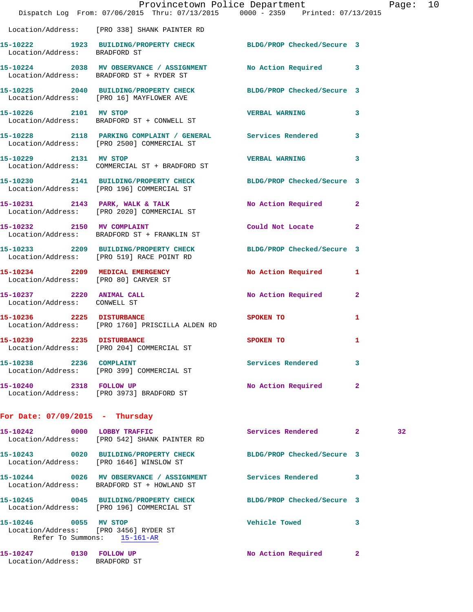|                                                          |                                                                                                               | Provincetown Police Department The Page: 10 |              |    |  |
|----------------------------------------------------------|---------------------------------------------------------------------------------------------------------------|---------------------------------------------|--------------|----|--|
|                                                          | Dispatch Log From: 07/06/2015 Thru: 07/13/2015 0000 - 2359 Printed: 07/13/2015                                |                                             |              |    |  |
|                                                          | Location/Address: [PRO 338] SHANK PAINTER RD                                                                  |                                             |              |    |  |
| Location/Address: BRADFORD ST                            | 15-10222 1923 BUILDING/PROPERTY CHECK BLDG/PROP Checked/Secure 3                                              |                                             |              |    |  |
|                                                          | 15-10224 2038 MV OBSERVANCE / ASSIGNMENT No Action Required 3<br>Location/Address: BRADFORD ST + RYDER ST     |                                             |              |    |  |
|                                                          | 15-10225 2040 BUILDING/PROPERTY CHECK BLDG/PROP Checked/Secure 3<br>Location/Address: [PRO 16] MAYFLOWER AVE  |                                             |              |    |  |
|                                                          | Location/Address: BRADFORD ST + CONWELL ST                                                                    |                                             | 3            |    |  |
|                                                          | 15-10228 2118 PARKING COMPLAINT / GENERAL Services Rendered 3<br>Location/Address: [PRO 2500] COMMERCIAL ST   |                                             |              |    |  |
| 15-10229 2131 MV STOP                                    | Location/Address: COMMERCIAL ST + BRADFORD ST                                                                 | <b>VERBAL WARNING</b>                       | 3            |    |  |
|                                                          | 15-10230 2141 BUILDING/PROPERTY CHECK BLDG/PROP Checked/Secure 3<br>Location/Address: [PRO 196] COMMERCIAL ST |                                             |              |    |  |
|                                                          | 15-10231 2143 PARK, WALK & TALK No Action Required 2<br>Location/Address: [PRO 2020] COMMERCIAL ST            |                                             |              |    |  |
|                                                          | 15-10232 2150 MV COMPLAINT<br>Location/Address: BRADFORD ST + FRANKLIN ST                                     | Could Not Locate                            | $\mathbf{2}$ |    |  |
|                                                          | 15-10233 2209 BUILDING/PROPERTY CHECK BLDG/PROP Checked/Secure 3<br>Location/Address: [PRO 519] RACE POINT RD |                                             |              |    |  |
| Location/Address: [PRO 80] CARVER ST                     | 15-10234 2209 MEDICAL EMERGENCY                                                                               | No Action Required 1                        |              |    |  |
| Location/Address: CONWELL ST                             | 15-10237 2220 ANIMAL CALL                                                                                     | No Action Required                          | $\mathbf{2}$ |    |  |
|                                                          | 15-10236 2225 DISTURBANCE SPOKEN TO<br>Location/Address: [PRO 1760] PRISCILLA ALDEN RD                        |                                             | 1            |    |  |
| 15-10239 2235 DISTURBANCE                                | Location/Address: [PRO 204] COMMERCIAL ST                                                                     | SPOKEN TO                                   | 1            |    |  |
| 15-10238 2236 COMPLAINT                                  | Location/Address: [PRO 399] COMMERCIAL ST                                                                     | Services Rendered                           | 3            |    |  |
| 15-10240 2318 FOLLOW UP                                  | Location/Address: [PRO 3973] BRADFORD ST                                                                      | No Action Required                          | -2           |    |  |
| For Date: $07/09/2015$ - Thursday                        |                                                                                                               |                                             |              |    |  |
|                                                          | 15-10242 0000 LOBBY TRAFFIC<br>Location/Address: [PRO 542] SHANK PAINTER RD                                   | Services Rendered 2                         |              | 32 |  |
|                                                          | 15-10243 0020 BUILDING/PROPERTY CHECK BLDG/PROP Checked/Secure 3<br>Location/Address: [PRO 1646] WINSLOW ST   |                                             |              |    |  |
|                                                          | 15-10244 0026 MV OBSERVANCE / ASSIGNMENT Services Rendered<br>Location/Address: BRADFORD ST + HOWLAND ST      |                                             | 3            |    |  |
|                                                          | 15-10245 0045 BUILDING/PROPERTY CHECK<br>Location/Address: [PRO 196] COMMERCIAL ST                            | BLDG/PROP Checked/Secure 3                  |              |    |  |
| 15-10246 0055 MV STOP                                    | Location/Address: [PRO 3456] RYDER ST<br>Refer To Summons: 15-161-AR                                          | <b>Vehicle Towed</b>                        | 3            |    |  |
| 15-10247 0130 FOLLOW UP<br>Location/Address: BRADFORD ST |                                                                                                               | No Action Required                          | -2           |    |  |
|                                                          |                                                                                                               |                                             |              |    |  |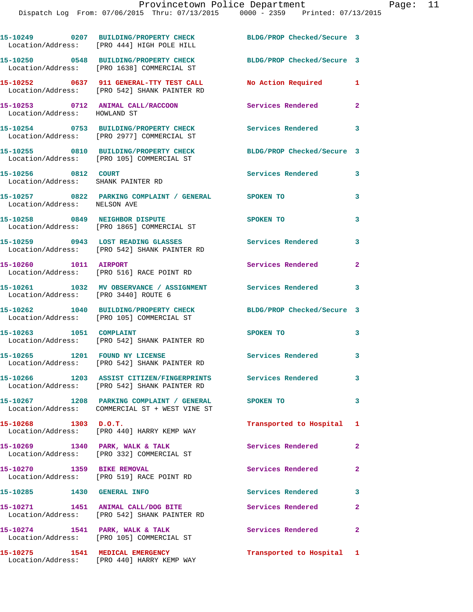**15-10249 0207 BUILDING/PROPERTY CHECK BLDG/PROP Checked/Secure 3**  Location/Address: [PRO 444] HIGH POLE HILL **15-10250 0548 BUILDING/PROPERTY CHECK BLDG/PROP Checked/Secure 3**  Location/Address: [PRO 1638] COMMERCIAL ST **15-10252 0637 911 GENERAL-TTY TEST CALL No Action Required 1**  Location/Address: [PRO 542] SHANK PAINTER RD **15-10253 0712 ANIMAL CALL/RACCOON Services Rendered 2**  Location/Address: HOWLAND ST **15-10254 0753 BUILDING/PROPERTY CHECK Services Rendered 3**  Location/Address: [PRO 2977] COMMERCIAL ST **15-10255 0810 BUILDING/PROPERTY CHECK BLDG/PROP Checked/Secure 3**  Location/Address: [PRO 105] COMMERCIAL ST **15-10256 0812 COURT Services Rendered 3**  Location/Address: SHANK PAINTER RD **15-10257 0822 PARKING COMPLAINT / GENERAL SPOKEN TO 3**  Location/Address: NELSON AVE **15-10258 0849 NEIGHBOR DISPUTE SPOKEN TO 3**  Location/Address: [PRO 1865] COMMERCIAL ST **15-10259 0943 LOST READING GLASSES Services Rendered 3**  Location/Address: [PRO 542] SHANK PAINTER RD **15-10260 1011 AIRPORT Services Rendered 2**  Location/Address: [PRO 516] RACE POINT RD **15-10261 1032 MV OBSERVANCE / ASSIGNMENT Services Rendered 3**  Location/Address: [PRO 3440] ROUTE 6 **15-10262 1040 BUILDING/PROPERTY CHECK BLDG/PROP Checked/Secure 3**  Location/Address: [PRO 105] COMMERCIAL ST **15-10263 1051 COMPLAINT SPOKEN TO 3**  Location/Address: [PRO 542] SHANK PAINTER RD **15-10265 1201 FOUND NY LICENSE Services Rendered 3**  Location/Address: [PRO 542] SHANK PAINTER RD **15-10266 1203 ASSIST CITIZEN/FINGERPRINTS Services Rendered 3**  Location/Address: [PRO 542] SHANK PAINTER RD **15-10267 1208 PARKING COMPLAINT / GENERAL SPOKEN TO 3**  Location/Address: COMMERCIAL ST + WEST VINE ST **15-10268 1303 D.O.T. Transported to Hospital 1**  Location/Address: [PRO 440] HARRY KEMP WAY 15-10269 1340 PARK, WALK & TALK **Services Rendered** 2 Location/Address: [PRO 332] COMMERCIAL ST 15-10270 1359 BIKE REMOVAL Services Rendered 2 Location/Address: [PRO 519] RACE POINT RD **15-10285 1430 GENERAL INFO Services Rendered 3 15-10271 1451 ANIMAL CALL/DOG BITE Services Rendered 2**  Location/Address: [PRO 542] SHANK PAINTER RD 15-10274 1541 PARK, WALK & TALK **Services Rendered** 2 Location/Address: [PRO 105] COMMERCIAL ST **15-10275 1541 MEDICAL EMERGENCY Transported to Hospital 1**  Location/Address: [PRO 440] HARRY KEMP WAY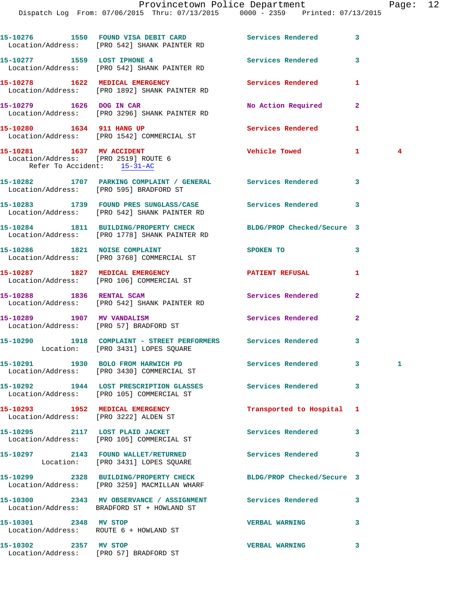|                                                                                                  | 15-10276 1550 FOUND VISA DEBIT CARD<br>Location/Address: [PRO 542] SHANK PAINTER RD                    | Services Rendered          | 3              |    |
|--------------------------------------------------------------------------------------------------|--------------------------------------------------------------------------------------------------------|----------------------------|----------------|----|
|                                                                                                  | 15-10277 1559 LOST IPHONE 4<br>Location/Address: [PRO 542] SHANK PAINTER RD                            | Services Rendered          | 3              |    |
|                                                                                                  | 15-10278 1622 MEDICAL EMERGENCY<br>Location/Address: [PRO 1892] SHANK PAINTER RD                       | Services Rendered          | 1              |    |
| 15-10279 1626 DOG IN CAR                                                                         | Location/Address: [PRO 3296] SHANK PAINTER RD                                                          | No Action Required         | $\mathbf{2}$   |    |
| 15-10280 1634 911 HANG UP                                                                        | Location/Address: [PRO 1542] COMMERCIAL ST                                                             | <b>Services Rendered</b>   | 1              |    |
| 15-10281 1637 MV ACCIDENT<br>Location/Address: [PRO 2519] ROUTE 6<br>Refer To Accident: 15-31-AC |                                                                                                        | Vehicle Towed              | $\mathbf{1}$   | 4  |
|                                                                                                  | 15-10282 1707 PARKING COMPLAINT / GENERAL Services Rendered<br>Location/Address: [PRO 595] BRADFORD ST |                            | 3              |    |
|                                                                                                  | 15-10283 1739 FOUND PRES SUNGLASS/CASE<br>Location/Address: [PRO 542] SHANK PAINTER RD                 | <b>Services Rendered</b>   | 3              |    |
|                                                                                                  | 15-10284 1811 BUILDING/PROPERTY CHECK<br>Location/Address: [PRO 1778] SHANK PAINTER RD                 | BLDG/PROP Checked/Secure 3 |                |    |
|                                                                                                  | 15-10286 1821 NOISE COMPLAINT<br>Location/Address: [PRO 3768] COMMERCIAL ST                            | SPOKEN TO                  | 3              |    |
|                                                                                                  | 15-10287 1827 MEDICAL EMERGENCY<br>Location/Address: [PRO 106] COMMERCIAL ST                           | <b>PATIENT REFUSAL</b>     | 1              |    |
| 15-10288 1836 RENTAL SCAM                                                                        | Location/Address: [PRO 542] SHANK PAINTER RD                                                           | Services Rendered          | $\overline{a}$ |    |
|                                                                                                  | 15-10289 1907 MV VANDALISM<br>Location/Address: [PRO 57] BRADFORD ST                                   | Services Rendered          | 2              |    |
|                                                                                                  | 15-10290 1918 COMPLAINT - STREET PERFORMERS<br>Location: [PRO 3431] LOPES SQUARE                       | Services Rendered          | 3              |    |
|                                                                                                  | 15-10291 1930 BOLO FROM HARWICH PD<br>Location/Address: [PRO 3430] COMMERCIAL ST                       | <b>Services Rendered</b>   | $\mathbf{3}$   | 1. |
|                                                                                                  | 15-10292 1944 LOST PRESCRIPTION GLASSES<br>Location/Address: [PRO 105] COMMERCIAL ST                   | Services Rendered          | 3              |    |
|                                                                                                  | 15-10293 1952 MEDICAL EMERGENCY<br>Location/Address: [PRO 3222] ALDEN ST                               | Transported to Hospital    | 1              |    |
|                                                                                                  | 15-10295 2117 LOST PLAID JACKET<br>Location/Address: [PRO 105] COMMERCIAL ST                           | <b>Services Rendered</b>   | 3              |    |
|                                                                                                  | 15-10297 2143 FOUND WALLET/RETURNED<br>Location: [PRO 3431] LOPES SQUARE                               | <b>Services Rendered</b>   | 3              |    |
|                                                                                                  | 15-10299 2328 BUILDING/PROPERTY CHECK<br>Location/Address: [PRO 3259] MACMILLAN WHARF                  | BLDG/PROP Checked/Secure 3 |                |    |
|                                                                                                  | 15-10300 2343 MV OBSERVANCE / ASSIGNMENT<br>Location/Address: BRADFORD ST + HOWLAND ST                 | Services Rendered          | 3              |    |
| 15-10301 2348 MV STOP                                                                            | Location/Address: ROUTE 6 + HOWLAND ST                                                                 | <b>VERBAL WARNING</b>      | 3              |    |
| 15-10302 2357 MV STOP                                                                            |                                                                                                        | <b>VERBAL WARNING</b>      | 3              |    |

Location/Address: [PRO 57] BRADFORD ST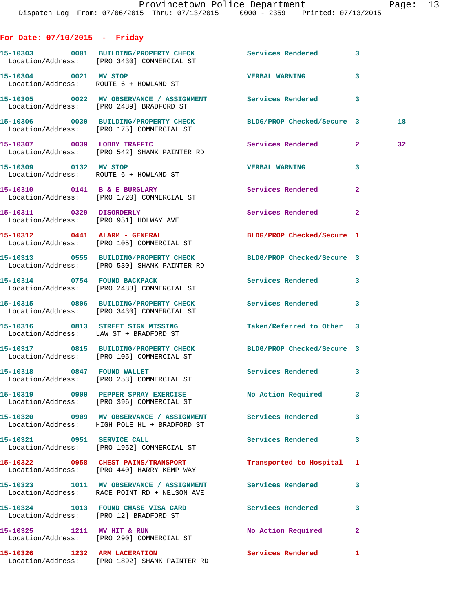## **For Date: 07/10/2015 - Friday**

|                                        | 15-10303 0001 BUILDING/PROPERTY CHECK Services Rendered 3<br>Location/Address: [PRO 3430] COMMERCIAL ST          |                            |              |                 |
|----------------------------------------|------------------------------------------------------------------------------------------------------------------|----------------------------|--------------|-----------------|
| 15-10304 0021 MV STOP                  | Location/Address: ROUTE 6 + HOWLAND ST                                                                           | VERBAL WARNING 3           |              |                 |
|                                        | 15-10305 0022 MV OBSERVANCE / ASSIGNMENT Services Rendered 3<br>Location/Address: [PRO 2489] BRADFORD ST         |                            |              |                 |
|                                        | 15-10306 0030 BUILDING/PROPERTY CHECK<br>Location/Address: [PRO 175] COMMERCIAL ST                               | BLDG/PROP Checked/Secure 3 |              | 18              |
|                                        | 15-10307 0039 LOBBY TRAFFIC<br>Location/Address: [PRO 542] SHANK PAINTER RD                                      | Services Rendered 2        |              | 32 <sub>1</sub> |
| 15-10309 0132 MV STOP                  | Location/Address: ROUTE 6 + HOWLAND ST                                                                           | <b>VERBAL WARNING</b>      | 3            |                 |
|                                        | 15-10310 0141 B & E BURGLARY<br>Location/Address: [PRO 1720] COMMERCIAL ST                                       | <b>Services Rendered</b>   | $\mathbf{2}$ |                 |
| 15-10311 0329 DISORDERLY               | Location/Address: [PRO 951] HOLWAY AVE                                                                           | Services Rendered 2        |              |                 |
|                                        | 15-10312 0441 ALARM - GENERAL<br>Location/Address: [PRO 105] COMMERCIAL ST                                       | BLDG/PROP Checked/Secure 1 |              |                 |
|                                        | 15-10313 0555 BUILDING/PROPERTY CHECK BLDG/PROP Checked/Secure 3<br>Location/Address: [PRO 530] SHANK PAINTER RD |                            |              |                 |
|                                        | 15-10314 0754 FOUND BACKPACK<br>Location/Address: [PRO 2483] COMMERCIAL ST                                       | Services Rendered 3        |              |                 |
|                                        | 15-10315 0806 BUILDING/PROPERTY CHECK Services Rendered 3<br>Location/Address: [PRO 3430] COMMERCIAL ST          |                            |              |                 |
|                                        | 15-10316 0813 STREET SIGN MISSING<br>Location/Address: LAW ST + BRADFORD ST                                      | Taken/Referred to Other 3  |              |                 |
|                                        | 15-10317 0815 BUILDING/PROPERTY CHECK BLDG/PROP Checked/Secure 3<br>Location/Address: [PRO 105] COMMERCIAL ST    |                            |              |                 |
|                                        | 15-10318 0847 FOUND WALLET<br>Location/Address: [PRO 253] COMMERCIAL ST                                          | Services Rendered 3        |              |                 |
|                                        | 15-10319 0900 PEPPER SPRAY EXERCISE<br>Location/Address: [PRO 396] COMMERCIAL ST                                 | No Action Required 3       |              |                 |
|                                        | 15-10320 0909 MV OBSERVANCE / ASSIGNMENT Services Rendered<br>Location/Address: HIGH POLE HL + BRADFORD ST       |                            | $\mathbf{3}$ |                 |
| 15-10321 0951 SERVICE CALL             | Location/Address: [PRO 1952] COMMERCIAL ST                                                                       | Services Rendered 3        |              |                 |
|                                        | 15-10322 0958 CHEST PAINS/TRANSPORT<br>Location/Address: [PRO 440] HARRY KEMP WAY                                | Transported to Hospital 1  |              |                 |
|                                        | 15-10323 1011 MV OBSERVANCE / ASSIGNMENT Services Rendered<br>Location/Address: RACE POINT RD + NELSON AVE       |                            | 3            |                 |
| Location/Address: [PRO 12] BRADFORD ST | 15-10324 1013 FOUND CHASE VISA CARD Services Rendered                                                            |                            | 3            |                 |
| 15-10325 1211 MV HIT & RUN             | Location/Address: [PRO 290] COMMERCIAL ST                                                                        | No Action Required         | $\mathbf{2}$ |                 |
|                                        | 15-10326 1232 ARM LACERATION<br>Location/Address: [PRO 1892] SHANK PAINTER RD                                    | <b>Services Rendered</b>   | 1            |                 |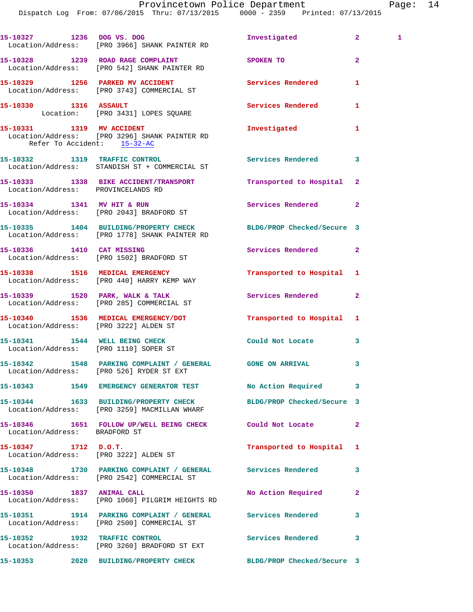|                               | 15-10327 1236 DOG VS. DOG<br>Location/Address: [PRO 3966] SHANK PAINTER RD                                        | Investigated               | $\mathbf{2}$   | $\mathbf{1}$ |
|-------------------------------|-------------------------------------------------------------------------------------------------------------------|----------------------------|----------------|--------------|
|                               | 15-10328 1239 ROAD RAGE COMPLAINT<br>Location/Address: [PRO 542] SHANK PAINTER RD                                 | SPOKEN TO                  | $\overline{a}$ |              |
|                               | 15-10329 1256 PARKED MV ACCIDENT<br>Location/Address: [PRO 3743] COMMERCIAL ST                                    | Services Rendered          | 1              |              |
|                               | 15-10330 1316 ASSAULT<br>Location: [PRO 3431] LOPES SQUARE                                                        | Services Rendered          | 1              |              |
| Refer To Accident: 15-32-AC   | 15-10331 1319 MV ACCIDENT<br>Location/Address: [PRO 3296] SHANK PAINTER RD                                        | Investigated               | 1              |              |
|                               | 15-10332 1319 TRAFFIC CONTROL<br>Location/Address: STANDISH ST + COMMERCIAL ST                                    | Services Rendered          | 3              |              |
|                               | 15-10333 1338 BIKE ACCIDENT/TRANSPORT<br>Location/Address: PROVINCELANDS RD                                       | Transported to Hospital    | $\mathbf{2}$   |              |
|                               | 15-10334 1341 MV HIT & RUN<br>Location/Address: [PRO 2043] BRADFORD ST                                            | <b>Services Rendered</b>   | $\overline{a}$ |              |
|                               | 15-10335 1404 BUILDING/PROPERTY CHECK BLDG/PROP Checked/Secure 3<br>Location/Address: [PRO 1778] SHANK PAINTER RD |                            |                |              |
| 15-10336 1410 CAT MISSING     | Location/Address: [PRO 1502] BRADFORD ST                                                                          | Services Rendered          | $\mathbf{2}$   |              |
|                               | 15-10338 1516 MEDICAL EMERGENCY<br>Location/Address: [PRO 440] HARRY KEMP WAY                                     | Transported to Hospital    | 1              |              |
|                               | 15-10339 1520 PARK, WALK & TALK<br>Location/Address: [PRO 285] COMMERCIAL ST                                      | Services Rendered          | $\overline{2}$ |              |
|                               | 15-10340 1536 MEDICAL EMERGENCY/DOT<br>Location/Address: [PRO 3222] ALDEN ST                                      | Transported to Hospital 1  |                |              |
|                               | 15-10341 1544 WELL BEING CHECK<br>Location/Address: [PRO 1110] SOPER ST                                           | Could Not Locate           | 3              |              |
|                               | 15-10342 1548 PARKING COMPLAINT / GENERAL GONE ON ARRIVAL<br>Location/Address: [PRO 526] RYDER ST EXT             |                            | 3              |              |
|                               | 15-10343 1549 EMERGENCY GENERATOR TEST No Action Required                                                         |                            | 3              |              |
|                               | 15-10344 1633 BUILDING/PROPERTY CHECK<br>Location/Address: [PRO 3259] MACMILLAN WHARF                             | BLDG/PROP Checked/Secure 3 |                |              |
| Location/Address: BRADFORD ST | 15-10346 1651 FOLLOW UP/WELL BEING CHECK Could Not Locate                                                         |                            | $\overline{a}$ |              |
| $15 - 10347$ 1712 D.O.T.      | Location/Address: [PRO 3222] ALDEN ST                                                                             | Transported to Hospital    | 1              |              |
|                               | 15-10348 1730 PARKING COMPLAINT / GENERAL Services Rendered<br>Location/Address: [PRO 2542] COMMERCIAL ST         |                            | 3              |              |
|                               | 15-10350 1837 ANIMAL CALL<br>Location/Address: [PRO 1060] PILGRIM HEIGHTS RD                                      | No Action Required         | $\overline{2}$ |              |
|                               | 15-10351 1914 PARKING COMPLAINT / GENERAL Services Rendered<br>Location/Address: [PRO 2500] COMMERCIAL ST         |                            | 3              |              |
|                               | 15-10352 1932 TRAFFIC CONTROL<br>Location/Address: [PRO 3260] BRADFORD ST EXT                                     | Services Rendered          | 3              |              |
|                               | 15-10353 2020 BUILDING/PROPERTY CHECK BLDG/PROP Checked/Secure 3                                                  |                            |                |              |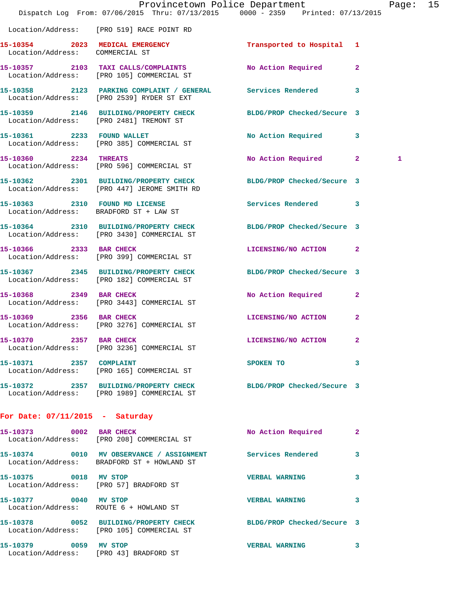|                                   | Provincetown Police Department<br>Dispatch Log From: 07/06/2015 Thru: 07/13/2015 0000 - 2359 Printed: 07/13/2015 |                       |              | Page: 15 |  |
|-----------------------------------|------------------------------------------------------------------------------------------------------------------|-----------------------|--------------|----------|--|
|                                   | Location/Address: [PRO 519] RACE POINT RD                                                                        |                       |              |          |  |
| Location/Address: COMMERCIAL ST   | 15-10354 2023 MEDICAL EMERGENCY Transported to Hospital 1                                                        |                       |              |          |  |
|                                   | 15-10357 2103 TAXI CALLS/COMPLAINTS<br>Location/Address: [PRO 105] COMMERCIAL ST                                 | No Action Required 2  |              |          |  |
|                                   | 15-10358 2123 PARKING COMPLAINT / GENERAL Services Rendered 3<br>Location/Address: [PRO 2539] RYDER ST EXT       |                       |              |          |  |
|                                   | 15-10359 2146 BUILDING/PROPERTY CHECK BLDG/PROP Checked/Secure 3<br>Location/Address: [PRO 2481] TREMONT ST      |                       |              |          |  |
|                                   | 15-10361 2233 FOUND WALLET<br>Location/Address: [PRO 385] COMMERCIAL ST                                          | No Action Required 3  |              |          |  |
|                                   | 15-10360 2234 THREATS<br>Location/Address: [PRO 596] COMMERCIAL ST                                               | No Action Required 2  |              | 1        |  |
|                                   | 15-10362 2301 BUILDING/PROPERTY CHECK BLDG/PROP Checked/Secure 3<br>Location/Address: [PRO 447] JEROME SMITH RD  |                       |              |          |  |
|                                   | 15-10363 2310 FOUND MD LICENSE<br>Location/Address: BRADFORD ST + LAW ST                                         | Services Rendered 3   |              |          |  |
|                                   | 15-10364 2310 BUILDING/PROPERTY CHECK BLDG/PROP Checked/Secure 3<br>Location/Address: [PRO 3430] COMMERCIAL ST   |                       |              |          |  |
|                                   | 15-10366 2333 BAR CHECK<br>Location/Address: [PRO 399] COMMERCIAL ST                                             | LICENSING/NO ACTION 2 |              |          |  |
|                                   | 15-10367 2345 BUILDING/PROPERTY CHECK BLDG/PROP Checked/Secure 3<br>Location/Address: [PRO 182] COMMERCIAL ST    |                       |              |          |  |
|                                   | 15-10368 2349 BAR CHECK<br>Location/Address: [PRO 3443] COMMERCIAL ST                                            | No Action Required    | $\mathbf{2}$ |          |  |
| 15-10369 2356 BAR CHECK           | Location/Address: [PRO 3276] COMMERCIAL ST                                                                       | LICENSING/NO ACTION   | $\mathbf{2}$ |          |  |
| 15-10370 2357 BAR CHECK           | Location/Address: [PRO 3236] COMMERCIAL ST                                                                       | LICENSING/NO ACTION   | $\mathbf{2}$ |          |  |
| 15-10371 2357 COMPLAINT           | Location/Address: [PRO 165] COMMERCIAL ST                                                                        | SPOKEN TO             | 3            |          |  |
|                                   | 15-10372 2357 BUILDING/PROPERTY CHECK BLDG/PROP Checked/Secure 3<br>Location/Address: [PRO 1989] COMMERCIAL ST   |                       |              |          |  |
| For Date: $07/11/2015$ - Saturday |                                                                                                                  |                       |              |          |  |
|                                   | 15-10373 0002 BAR CHECK<br>Location/Address: [PRO 208] COMMERCIAL ST                                             | No Action Required    | $\mathbf{2}$ |          |  |
|                                   | 15-10374 0010 MV OBSERVANCE / ASSIGNMENT Services Rendered 3<br>Location/Address: BRADFORD ST + HOWLAND ST       |                       |              |          |  |
| 15-10375 0018 MV STOP             | Location/Address: [PRO 57] BRADFORD ST                                                                           | <b>VERBAL WARNING</b> | 3            |          |  |
| 15-10377 0040 MV STOP             | Location/Address: ROUTE 6 + HOWLAND ST                                                                           | VERBAL WARNING 3      |              |          |  |
|                                   | 15-10378 0052 BUILDING/PROPERTY CHECK BLDG/PROP Checked/Secure 3<br>Location/Address: [PRO 105] COMMERCIAL ST    |                       |              |          |  |
| 15-10379 0059 MV STOP             | Location/Address: [PRO 43] BRADFORD ST                                                                           | VERBAL WARNING 3      |              |          |  |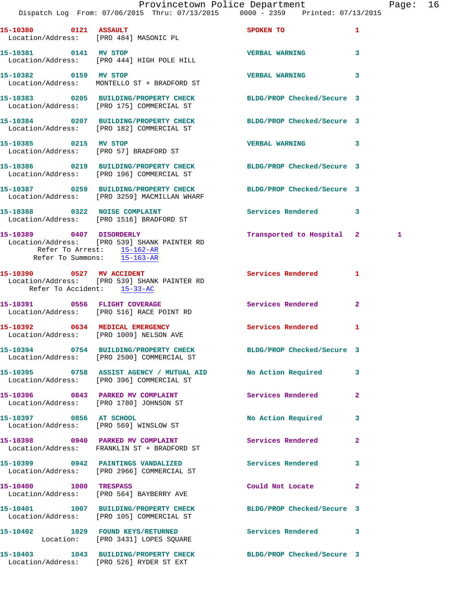|                             | Dispatch Log From: 07/06/2015 Thru: 07/13/2015 0000 - 2359 Printed: 07/13/2015                                   | Provincetown Police Department                                                                                 |              | Page: 16 |  |
|-----------------------------|------------------------------------------------------------------------------------------------------------------|----------------------------------------------------------------------------------------------------------------|--------------|----------|--|
|                             |                                                                                                                  |                                                                                                                |              |          |  |
| 15-10380 0121 ASSAULT       | Location/Address: [PRO 484] MASONIC PL                                                                           | SPOKEN TO THE STATE OF THE STATE OF THE STATE OF THE STATE OF THE STATE OF THE STATE OF THE STATE OF THE STATE | $\mathbf{1}$ |          |  |
| 15-10381 0141 MV STOP       | Location/Address: [PRO 444] HIGH POLE HILL                                                                       | <b>VERBAL WARNING</b>                                                                                          | $\mathbf{3}$ |          |  |
| 15-10382 0159 MV STOP       | Location/Address: MONTELLO ST + BRADFORD ST                                                                      | <b>VERBAL WARNING</b>                                                                                          | 3            |          |  |
|                             | 15-10383 0205 BUILDING/PROPERTY CHECK BLDG/PROP Checked/Secure 3<br>Location/Address: [PRO 175] COMMERCIAL ST    |                                                                                                                |              |          |  |
|                             | 15-10384 0207 BUILDING/PROPERTY CHECK BLDG/PROP Checked/Secure 3<br>Location/Address: [PRO 182] COMMERCIAL ST    |                                                                                                                |              |          |  |
| 15-10385 0215 MV STOP       | Location/Address: [PRO 57] BRADFORD ST                                                                           | VERBAL WARNING 3                                                                                               |              |          |  |
|                             | 15-10386 0219 BUILDING/PROPERTY CHECK BLDG/PROP Checked/Secure 3<br>Location/Address: [PRO 196] COMMERCIAL ST    |                                                                                                                |              |          |  |
|                             | 15-10387 0259 BUILDING/PROPERTY CHECK BLDG/PROP Checked/Secure 3<br>Location/Address: [PRO 3259] MACMILLAN WHARF |                                                                                                                |              |          |  |
|                             | 15-10388 0322 NOISE COMPLAINT<br>Location/Address: [PRO 1516] BRADFORD ST                                        | Services Rendered 3                                                                                            |              |          |  |
| Refer To Summons: 15-163-AR | 15-10389 0407 DISORDERLY<br>Location/Address: [PRO 539] SHANK PAINTER RD<br>Refer To Arrest: 15-162-AR           | Transported to Hospital 2                                                                                      |              | 1        |  |
| Refer To Accident: 15-33-AC | 15-10390 0527 MV ACCIDENT<br>Location/Address: [PRO 539] SHANK PAINTER RD                                        | Services Rendered 1                                                                                            |              |          |  |
|                             | 15-10391 0556 FLIGHT COVERAGE<br>Location/Address: [PRO 516] RACE POINT RD                                       | Services Rendered 2                                                                                            |              |          |  |
|                             | 15-10392 0634 MEDICAL EMERGENCY<br>Location/Address: [PRO 1009] NELSON AVE                                       | <b>Services Rendered</b>                                                                                       | 1            |          |  |
|                             | 15-10394 0754 BUILDING/PROPERTY CHECK<br>Location/Address: [PRO 2500] COMMERCIAL ST                              | BLDG/PROP Checked/Secure 3                                                                                     |              |          |  |
|                             | 15-10395 0758 ASSIST AGENCY / MUTUAL AID No Action Required 3<br>Location/Address: [PRO 396] COMMERCIAL ST       |                                                                                                                |              |          |  |
|                             | 15-10396 0843 PARKED MV COMPLAINT<br>Location/Address: [PRO 1780] JOHNSON ST                                     | Services Rendered                                                                                              | $\mathbf{2}$ |          |  |
|                             | 15-10397 0856 AT SCHOOL<br>Location/Address: [PRO 569] WINSLOW ST                                                | No Action Required                                                                                             | 3            |          |  |
|                             | 15-10398 0940 PARKED MV COMPLAINT<br>Location/Address: FRANKLIN ST + BRADFORD ST                                 | Services Rendered                                                                                              | $\mathbf{2}$ |          |  |
|                             | 15-10399 0942 PAINTINGS VANDALIZED<br>Location/Address: [PRO 2966] COMMERCIAL ST                                 | Services Rendered                                                                                              | 3            |          |  |
| 15-10400 1000 TRESPASS      | Location/Address: [PRO 564] BAYBERRY AVE                                                                         | Could Not Locate 2                                                                                             |              |          |  |
|                             | 15-10401 1007 BUILDING/PROPERTY CHECK BLDG/PROP Checked/Secure 3<br>Location/Address: [PRO 105] COMMERCIAL ST    |                                                                                                                |              |          |  |
|                             | 15-10402 1029 FOUND KEYS/RETURNED Services Rendered 3<br>Location: [PRO 3431] LOPES SQUARE                       |                                                                                                                |              |          |  |
|                             | 15-10403 1043 BUILDING/PROPERTY CHECK BLDG/PROP Checked/Secure 3<br>Location/Address: [PRO 526] RYDER ST EXT     |                                                                                                                |              |          |  |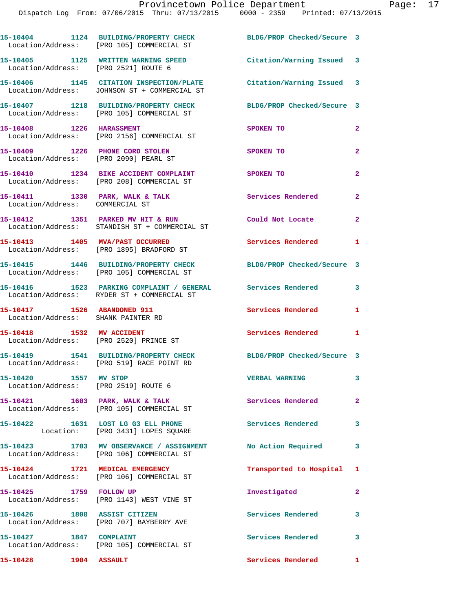|                                                                          | 15-10404 1124 BUILDING/PROPERTY CHECK<br>Location/Address: [PRO 105] COMMERCIAL ST                        | BLDG/PROP Checked/Secure 3 |                |
|--------------------------------------------------------------------------|-----------------------------------------------------------------------------------------------------------|----------------------------|----------------|
| Location/Address: [PRO 2521] ROUTE 6                                     | 15-10405 1125 WRITTEN WARNING SPEED                                                                       | Citation/Warning Issued 3  |                |
|                                                                          | 15-10406 1145 CITATION INSPECTION/PLATE<br>Location/Address: JOHNSON ST + COMMERCIAL ST                   | Citation/Warning Issued 3  |                |
|                                                                          | 15-10407 1218 BUILDING/PROPERTY CHECK<br>Location/Address: [PRO 105] COMMERCIAL ST                        | BLDG/PROP Checked/Secure 3 |                |
| 15-10408 1226 HARASSMENT                                                 | Location/Address: [PRO 2156] COMMERCIAL ST                                                                | SPOKEN TO                  | $\overline{a}$ |
| 15-10409 1226 PHONE CORD STOLEN<br>Location/Address: [PRO 2090] PEARL ST |                                                                                                           | SPOKEN TO                  | $\mathbf{2}$   |
|                                                                          | 15-10410 1234 BIKE ACCIDENT COMPLAINT<br>Location/Address: [PRO 208] COMMERCIAL ST                        | SPOKEN TO                  | $\mathbf{2}$   |
| Location/Address: COMMERCIAL ST                                          | 15-10411 1330 PARK, WALK & TALK                                                                           | Services Rendered          | $\mathbf{2}$   |
|                                                                          | 15-10412 1351 PARKED MV HIT & RUN<br>Location/Address: STANDISH ST + COMMERCIAL ST                        | Could Not Locate           | $\overline{2}$ |
|                                                                          | 15-10413 1405 MVA/PAST OCCURRED<br>Location/Address: [PRO 1895] BRADFORD ST                               | Services Rendered 1        |                |
|                                                                          | 15-10415 1446 BUILDING/PROPERTY CHECK<br>Location/Address: [PRO 105] COMMERCIAL ST                        | BLDG/PROP Checked/Secure 3 |                |
|                                                                          | 15-10416 1523 PARKING COMPLAINT / GENERAL Services Rendered<br>Location/Address: RYDER ST + COMMERCIAL ST |                            | 3              |
| 15-10417 1526 ABANDONED 911<br>Location/Address: SHANK PAINTER RD        |                                                                                                           | Services Rendered          | 1              |
| 15-10418 1532 MV ACCIDENT<br>Location/Address: [PRO 2520] PRINCE ST      |                                                                                                           | Services Rendered 1        |                |
|                                                                          | 15-10419 1541 BUILDING/PROPERTY CHECK<br>Location/Address: [PRO 519] RACE POINT RD                        | BLDG/PROP Checked/Secure 3 |                |
| 15-10420 1557 MV STOP<br>Location/Address: [PRO 2519] ROUTE 6            |                                                                                                           | <b>VERBAL WARNING</b>      | 3              |
|                                                                          | $15-10421$ 1603 PARK, WALK & TALK<br>Location/Address: [PRO 105] COMMERCIAL ST                            | Services Rendered          | $\overline{2}$ |
|                                                                          | 15-10422 1631 LOST LG G3 ELL PHONE<br>Location: [PRO 3431] LOPES SQUARE                                   | Services Rendered          | 3              |
|                                                                          | 15-10423 1703 MV OBSERVANCE / ASSIGNMENT<br>Location/Address: [PRO 106] COMMERCIAL ST                     | No Action Required         | 3              |
|                                                                          | 15-10424 1721 MEDICAL EMERGENCY<br>Location/Address: [PRO 106] COMMERCIAL ST                              | Transported to Hospital 1  |                |
| 15-10425 1759 FOLLOW UP                                                  | Location/Address: [PRO 1143] WEST VINE ST                                                                 | Investigated               | $\mathbf{2}$   |
| 15-10426 1808 ASSIST CITIZEN                                             | Location/Address: [PRO 707] BAYBERRY AVE                                                                  | Services Rendered          | 3              |
| 15-10427   1847   COMPLAINT                                              | Location/Address: [PRO 105] COMMERCIAL ST                                                                 | Services Rendered          | 3              |

15-10428 1904 ASSAULT Services Rendered 1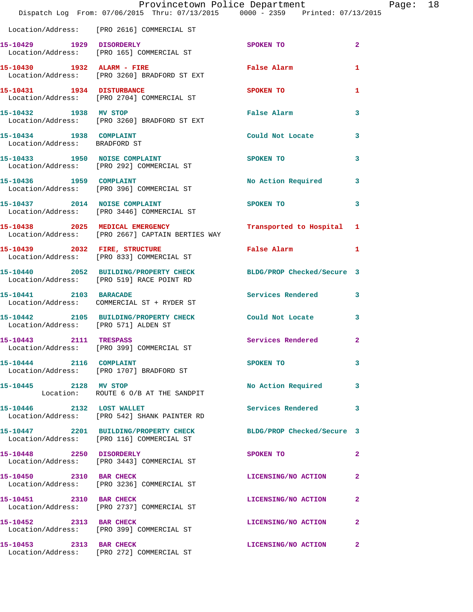|                                                          | Provincetown Police Department<br>Dispatch Log From: 07/06/2015 Thru: 07/13/2015 0000 - 2359 Printed: 07/13/2015 |                      |                | Page: 18 |  |
|----------------------------------------------------------|------------------------------------------------------------------------------------------------------------------|----------------------|----------------|----------|--|
|                                                          | Location/Address: [PRO 2616] COMMERCIAL ST                                                                       |                      |                |          |  |
|                                                          | 15-10429 1929 DISORDERLY<br>Location/Address: [PRO 165] COMMERCIAL ST                                            | SPOKEN TO            | $\overline{2}$ |          |  |
|                                                          | 15-10430 1932 ALARM - FIRE False Alarm<br>Location/Address: [PRO 3260] BRADFORD ST EXT                           |                      | 1              |          |  |
|                                                          | 15-10431 1934 DISTURBANCE<br>Location/Address: [PRO 2704] COMMERCIAL ST                                          | <b>SPOKEN TO</b>     | 1              |          |  |
|                                                          | 15-10432 1938 MV STOP<br>Location/Address: [PRO 3260] BRADFORD ST EXT                                            | <b>False Alarm</b>   | 3              |          |  |
| 15-10434 1938 COMPLAINT<br>Location/Address: BRADFORD ST |                                                                                                                  | Could Not Locate 3   |                |          |  |
|                                                          | 15-10433 1950 NOISE COMPLAINT<br>Location/Address: [PRO 292] COMMERCIAL ST                                       | <b>SPOKEN TO</b>     | 3              |          |  |
|                                                          | 15-10436   1959   COMPLAINT<br>Location/Address: [PRO 396] COMMERCIAL ST                                         | No Action Required 3 |                |          |  |
|                                                          | 15-10437 2014 NOISE COMPLAINT<br>Location/Address: [PRO 3446] COMMERCIAL ST                                      | SPOKEN TO            | 3              |          |  |
|                                                          | 15-10438 2025 MEDICAL EMERGENCY Transported to Hospital 1<br>Location/Address: [PRO 2667] CAPTAIN BERTIES WAY    |                      |                |          |  |
|                                                          | 15-10439 2032 FIRE, STRUCTURE<br>Location/Address: [PRO 833] COMMERCIAL ST                                       | False Alarm          | $\mathbf{1}$   |          |  |
|                                                          | 15-10440 2052 BUILDING/PROPERTY CHECK BLDG/PROP Checked/Secure 3<br>Location/Address: [PRO 519] RACE POINT RD    |                      |                |          |  |
|                                                          | 15-10441 2103 BARACADE<br>Location/Address: COMMERCIAL ST + RYDER ST                                             | Services Rendered 3  |                |          |  |
| Location/Address: [PRO 571] ALDEN ST                     | 15-10442 2105 BUILDING/PROPERTY CHECK Could Not Locate                                                           |                      | 3              |          |  |
| 15-10443 2111 TRESPASS                                   | Location/Address: [PRO 399] COMMERCIAL ST                                                                        | Services Rendered    | $\mathbf{2}$   |          |  |
| 15-10444 2116 COMPLAINT                                  | Location/Address: [PRO 1707] BRADFORD ST                                                                         | SPOKEN TO            | 3              |          |  |
| 15-10445 2128 MV STOP                                    | Location: ROUTE 6 0/B AT THE SANDPIT                                                                             | No Action Required   | 3              |          |  |
| 15-10446 2132 LOST WALLET                                | Location/Address: [PRO 542] SHANK PAINTER RD                                                                     | Services Rendered    | 3              |          |  |
|                                                          | 15-10447 2201 BUILDING/PROPERTY CHECK BLDG/PROP Checked/Secure 3<br>Location/Address: [PRO 116] COMMERCIAL ST    |                      |                |          |  |
| 15-10448 2250 DISORDERLY                                 | Location/Address: [PRO 3443] COMMERCIAL ST                                                                       | SPOKEN TO            | $\overline{2}$ |          |  |
|                                                          | 15-10450 2310 BAR CHECK<br>Location/Address: [PRO 3236] COMMERCIAL ST                                            | LICENSING/NO ACTION  | -2             |          |  |
| 15-10451 2310 BAR CHECK                                  | Location/Address: [PRO 2737] COMMERCIAL ST                                                                       | LICENSING/NO ACTION  | $\mathbf{2}$   |          |  |
| 15-10452 2313 BAR CHECK                                  | Location/Address: [PRO 399] COMMERCIAL ST                                                                        | LICENSING/NO ACTION  | 2              |          |  |
| 15-10453 2313 BAR CHECK                                  | Location/Address: [PRO 272] COMMERCIAL ST                                                                        | LICENSING/NO ACTION  | -2             |          |  |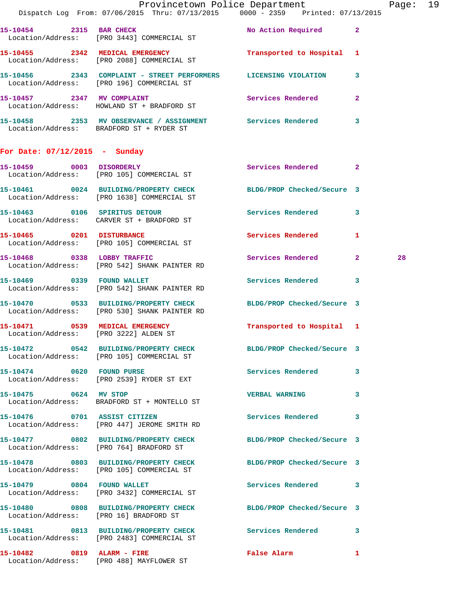|                                       | Dispatch Log From: 07/06/2015 Thru: 07/13/2015 0000 - 2359 Printed: 07/13/2015                                   | Provincetown Police Department                                                                                 |    | Page: 19 |  |
|---------------------------------------|------------------------------------------------------------------------------------------------------------------|----------------------------------------------------------------------------------------------------------------|----|----------|--|
|                                       | 15-10454 2315 BAR CHECK<br>Location/Address: [PRO 3443] COMMERCIAL ST                                            | No Action Required 2                                                                                           |    |          |  |
|                                       | 15-10455 2342 MEDICAL EMERGENCY Transported to Hospital 1<br>Location/Address: [PRO 2088] COMMERCIAL ST          |                                                                                                                |    |          |  |
|                                       | 15-10456 2343 COMPLAINT - STREET PERFORMERS LICENSING VIOLATION 3<br>Location/Address: [PRO 196] COMMERCIAL ST   |                                                                                                                |    |          |  |
|                                       | 15-10457 2347 MV COMPLAINT<br>Location/Address: HOWLAND ST + BRADFORD ST                                         | Services Rendered 2                                                                                            |    |          |  |
|                                       | 15-10458 2353 MV OBSERVANCE / ASSIGNMENT Services Rendered 3<br>Location/Address: BRADFORD ST + RYDER ST         |                                                                                                                |    |          |  |
| For Date: 07/12/2015 - Sunday         |                                                                                                                  |                                                                                                                |    |          |  |
|                                       | 15-10459 0003 DISORDERLY<br>Location/Address: [PRO 105] COMMERCIAL ST                                            | Services Rendered 2                                                                                            |    |          |  |
|                                       | 15-10461 0024 BUILDING/PROPERTY CHECK BLDG/PROP Checked/Secure 3<br>Location/Address: [PRO 1638] COMMERCIAL ST   |                                                                                                                |    |          |  |
|                                       | 15-10463 0106 SPIRITUS DETOUR<br>Location/Address: CARVER ST + BRADFORD ST                                       | Services Rendered 3                                                                                            |    |          |  |
|                                       | 15-10465 0201 DISTURBANCE<br>Location/Address: [PRO 105] COMMERCIAL ST                                           | Services Rendered 1                                                                                            |    |          |  |
| 15-10468 0338 LOBBY TRAFFIC           | Location/Address: [PRO 542] SHANK PAINTER RD                                                                     | Services Rendered 2                                                                                            |    | 28       |  |
|                                       | 15-10469 0339 FOUND WALLET<br>Location/Address: [PRO 542] SHANK PAINTER RD                                       | Services Rendered 3                                                                                            |    |          |  |
|                                       | 15-10470 0533 BUILDING/PROPERTY CHECK BLDG/PROP Checked/Secure 3<br>Location/Address: [PRO 530] SHANK PAINTER RD |                                                                                                                |    |          |  |
| Location/Address: [PRO 3222] ALDEN ST | 15-10471 0539 MEDICAL EMERGENCY                                                                                  | Transported to Hospital 1                                                                                      |    |          |  |
|                                       | 15-10472 0542 BUILDING/PROPERTY CHECK<br>Location/Address: [PRO 105] COMMERCIAL ST                               | BLDG/PROP Checked/Secure 3                                                                                     |    |          |  |
|                                       | 15-10474 0620 FOUND PURSE<br>Location/Address: [PRO 2539] RYDER ST EXT                                           | Services Rendered 3                                                                                            |    |          |  |
| 15-10475 0624 MV STOP                 | Location/Address: BRADFORD ST + MONTELLO ST                                                                      | VERBAL WARNING 3                                                                                               |    |          |  |
|                                       | 15-10476 0701 ASSIST CITIZEN<br>Location/Address: [PRO 447] JEROME SMITH RD                                      | Services Rendered 3                                                                                            |    |          |  |
|                                       | 15-10477 0802 BUILDING/PROPERTY CHECK BLDG/PROP Checked/Secure 3<br>Location/Address: [PRO 764] BRADFORD ST      |                                                                                                                |    |          |  |
|                                       | 15-10478 0803 BUILDING/PROPERTY CHECK BLDG/PROP Checked/Secure 3<br>Location/Address: [PRO 105] COMMERCIAL ST    |                                                                                                                |    |          |  |
| 15-10479 0804 FOUND WALLET            | Location/Address: [PRO 3432] COMMERCIAL ST                                                                       | Services Rendered 3                                                                                            |    |          |  |
|                                       | 15-10480 0808 BUILDING/PROPERTY CHECK BLDG/PROP Checked/Secure 3<br>Location/Address: [PRO 16] BRADFORD ST       |                                                                                                                |    |          |  |
|                                       | 15-10481 0813 BUILDING/PROPERTY CHECK Services Rendered 3<br>Location/Address: [PRO 2483] COMMERCIAL ST          |                                                                                                                |    |          |  |
|                                       | 15-10482 0819 ALARM - FIRE<br>Location/Address: [PRO 488] MAYFLOWER ST                                           | False Alarm and the state of the state of the state of the state of the state of the state of the state of the | -1 |          |  |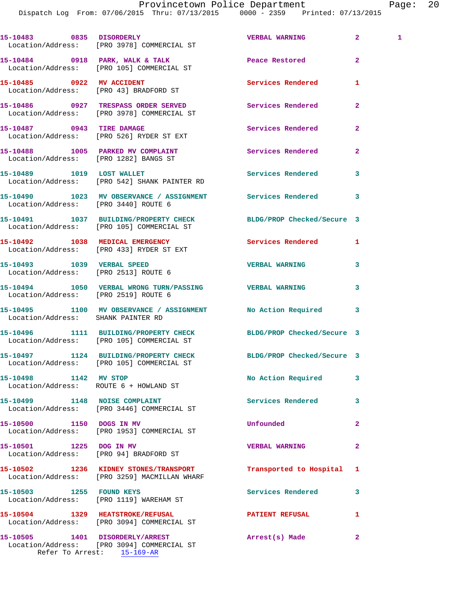Dispatch Log From: 07/06/2015 Thru: 07/13/2015 0000 - 2359 Printed: 07/13/2015

15-10483 0835 DISORDERLY VERBAL WARNING 2 1 Location/Address: [PRO 3978] COMMERCIAL ST **15-10484 0918 PARK, WALK & TALK Peace Restored 2**  Location/Address: [PRO 105] COMMERCIAL ST **15-10485 0922 MV ACCIDENT Services Rendered 1**  Location/Address: [PRO 43] BRADFORD ST **15-10486 0927 TRESPASS ORDER SERVED Services Rendered 2**  Location/Address: [PRO 3978] COMMERCIAL ST **15-10487 0943 TIRE DAMAGE Services Rendered 2**  Location/Address: [PRO 526] RYDER ST EXT 15-10488 1005 PARKED MV COMPLAINT **15-10488** Services Rendered 2 Location/Address: [PRO 1282] BANGS ST **15-10489 1019 LOST WALLET Services Rendered 3**  Location/Address: [PRO 542] SHANK PAINTER RD **15-10490 1023 MV OBSERVANCE / ASSIGNMENT Services Rendered 3**  Location/Address: [PRO 3440] ROUTE 6 **15-10491 1037 BUILDING/PROPERTY CHECK BLDG/PROP Checked/Secure 3**  Location/Address: [PRO 105] COMMERCIAL ST **15-10492 1038 MEDICAL EMERGENCY Services Rendered 1**  Location/Address: [PRO 433] RYDER ST EXT **15-10493 1039 VERBAL SPEED VERBAL WARNING 3**  Location/Address: [PRO 2513] ROUTE 6 **15-10494 1050 VERBAL WRONG TURN/PASSING VERBAL WARNING 3**  Location/Address: [PRO 2519] ROUTE 6 **15-10495 1100 MV OBSERVANCE / ASSIGNMENT No Action Required 3**  Location/Address: SHANK PAINTER RD **15-10496 1111 BUILDING/PROPERTY CHECK BLDG/PROP Checked/Secure 3**  Location/Address: [PRO 105] COMMERCIAL ST **15-10497 1124 BUILDING/PROPERTY CHECK BLDG/PROP Checked/Secure 3**  Location/Address: [PRO 105] COMMERCIAL ST 15-10498 1142 MV STOP **No Action Required** 3 Location/Address: ROUTE 6 + HOWLAND ST **15-10499 1148 NOISE COMPLAINT Services Rendered 3**  Location/Address: [PRO 3446] COMMERCIAL ST **15-10500 1150 DOGS IN MV Unfounded 2**  Location/Address: [PRO 1953] COMMERCIAL ST **15-10501 1225 DOG IN MV VERBAL WARNING 2**  Location/Address: [PRO 94] BRADFORD ST **15-10502 1236 KIDNEY STONES/TRANSPORT Transported to Hospital 1**  Location/Address: [PRO 3259] MACMILLAN WHARF **15-10503 1255 FOUND KEYS Services Rendered 3**  Location/Address: [PRO 1119] WAREHAM ST **15-10504 1329 HEATSTROKE/REFUSAL PATIENT REFUSAL 1**  Location/Address: [PRO 3094] COMMERCIAL ST **15-10505 1401 DISORDERLY/ARREST Arrest(s) Made 2**  Location/Address: [PRO 3094] COMMERCIAL ST

Refer To Arrest: 15-169-AR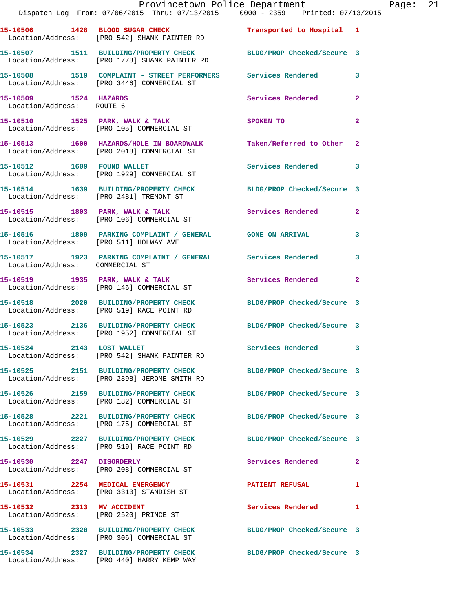|                                                    | Provincetown Police Department<br>Dispatch Log From: 07/06/2015 Thru: 07/13/2015 0000 - 2359 Printed: 07/13/2015          |                            |              | Page: 21 |  |
|----------------------------------------------------|---------------------------------------------------------------------------------------------------------------------------|----------------------------|--------------|----------|--|
|                                                    | 15-10506 1428 BLOOD SUGAR CHECK Transported to Hospital 1<br>Location/Address: [PRO 542] SHANK PAINTER RD                 |                            |              |          |  |
|                                                    | 15-10507   1511   BUILDING/PROPERTY CHECK   BLDG/PROP Checked/Secure   3<br>Location/Address: [PRO 1778] SHANK PAINTER RD |                            |              |          |  |
|                                                    | 15-10508 1519 COMPLAINT - STREET PERFORMERS Services Rendered 3<br>Location/Address: [PRO 3446] COMMERCIAL ST             |                            |              |          |  |
| 15-10509 1524 HAZARDS<br>Location/Address: ROUTE 6 |                                                                                                                           | Services Rendered 2        |              |          |  |
|                                                    | 15-10510 1525 PARK, WALK & TALK SPOKEN TO<br>Location/Address: [PRO 105] COMMERCIAL ST                                    |                            | $\mathbf{2}$ |          |  |
|                                                    | 15-10513 1600 HAZARDS/HOLE IN BOARDWALK Taken/Referred to Other 2<br>Location/Address: [PRO 2018] COMMERCIAL ST           |                            |              |          |  |
|                                                    | 15-10512 1609 FOUND WALLET<br>Location/Address: [PRO 1929] COMMERCIAL ST                                                  | Services Rendered 3        |              |          |  |
|                                                    | 15-10514 1639 BUILDING/PROPERTY CHECK BLDG/PROP Checked/Secure 3<br>Location/Address: [PRO 2481] TREMONT ST               |                            |              |          |  |
|                                                    | 15-10515 1803 PARK, WALK & TALK 1999 Services Rendered 2<br>Location/Address: [PRO 106] COMMERCIAL ST                     |                            |              |          |  |
|                                                    | 15-10516 1809 PARKING COMPLAINT / GENERAL GONE ON ARRIVAL 3<br>Location/Address: [PRO 511] HOLWAY AVE                     |                            |              |          |  |
|                                                    | 15-10517 1923 PARKING COMPLAINT / GENERAL Services Rendered 3<br>Location/Address: COMMERCIAL ST                          |                            |              |          |  |
|                                                    | 15-10519 1935 PARK, WALK & TALK 1988 Services Rendered 2<br>Location/Address: [PRO 146] COMMERCIAL ST                     |                            |              |          |  |
|                                                    | 15-10518  2020 BUILDING/PROPERTY CHECK BLDG/PROP Checked/Secure 3<br>Location/Address: [PRO 519] RACE POINT RD            |                            |              |          |  |
|                                                    | 15-10523 2136 BUILDING/PROPERTY CHECK BLDG/PROP Checked/Secure 3<br>Location/Address: [PRO 1952] COMMERCIAL ST            |                            |              |          |  |
| 15-10524 2143 LOST WALLET                          | Location/Address: [PRO 542] SHANK PAINTER RD                                                                              | Services Rendered 3        |              |          |  |
|                                                    | 15-10525 2151 BUILDING/PROPERTY CHECK BLDG/PROP Checked/Secure 3<br>Location/Address: [PRO 2898] JEROME SMITH RD          |                            |              |          |  |
|                                                    | 15-10526 2159 BUILDING/PROPERTY CHECK<br>Location/Address: [PRO 182] COMMERCIAL ST                                        | BLDG/PROP Checked/Secure 3 |              |          |  |
|                                                    | 15-10528 2221 BUILDING/PROPERTY CHECK BLDG/PROP Checked/Secure 3<br>Location/Address: [PRO 175] COMMERCIAL ST             |                            |              |          |  |
|                                                    | 15-10529 2227 BUILDING/PROPERTY CHECK BLDG/PROP Checked/Secure 3<br>Location/Address: [PRO 519] RACE POINT RD             |                            |              |          |  |
| 15-10530 2247 DISORDERLY                           | Location/Address: [PRO 208] COMMERCIAL ST                                                                                 | Services Rendered 2        |              |          |  |
|                                                    | 15-10531 2254 MEDICAL EMERGENCY<br>Location/Address: [PRO 3313] STANDISH ST                                               | PATIENT REFUSAL            | 1            |          |  |
|                                                    | 15-10532 2313 MV ACCIDENT<br>Location/Address: [PRO 2520] PRINCE ST                                                       | Services Rendered 1        |              |          |  |
|                                                    | 15-10533 2320 BUILDING/PROPERTY CHECK BLDG/PROP Checked/Secure 3<br>Location/Address: [PRO 306] COMMERCIAL ST             |                            |              |          |  |
|                                                    | 15-10534 2327 BUILDING/PROPERTY CHECK<br>Location/Address: [PRO 440] HARRY KEMP WAY                                       | BLDG/PROP Checked/Secure 3 |              |          |  |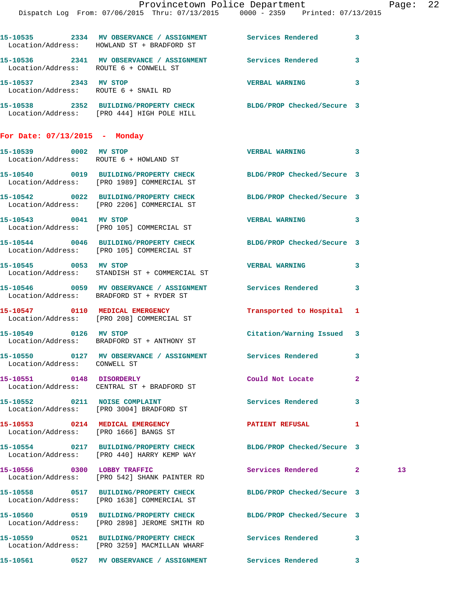|                                        | Provincetown Police Department<br>Dispatch Log From: 07/06/2015 Thru: 07/13/2015 0000 - 2359 Printed: 07/13/2015 |                           |              | Page |
|----------------------------------------|------------------------------------------------------------------------------------------------------------------|---------------------------|--------------|------|
|                                        | 15-10535 2334 MV OBSERVANCE / ASSIGNMENT Services Rendered 3                                                     |                           |              |      |
|                                        | Location/Address: HOWLAND ST + BRADFORD ST                                                                       |                           |              |      |
| Location/Address: ROUTE 6 + CONWELL ST | 15-10536 2341 MV OBSERVANCE / ASSIGNMENT Services Rendered 3                                                     |                           |              |      |
|                                        |                                                                                                                  | <b>VERBAL WARNING</b>     | 3            |      |
|                                        | 15-10538 2352 BUILDING/PROPERTY CHECK BLDG/PROP Checked/Secure 3<br>Location/Address: [PRO 444] HIGH POLE HILL   |                           |              |      |
| For Date: $07/13/2015$ - Monday        |                                                                                                                  |                           |              |      |
|                                        | 15-10539 0002 MV STOP<br>Location/Address: ROUTE 6 + HOWLAND ST                                                  | VERBAL WARNING 3          |              |      |
|                                        | 15-10540 0019 BUILDING/PROPERTY CHECK BLDG/PROP Checked/Secure 3<br>Location/Address: [PRO 1989] COMMERCIAL ST   |                           |              |      |
|                                        | 15-10542 0022 BUILDING/PROPERTY CHECK BLDG/PROP Checked/Secure 3<br>Location/Address: [PRO 2206] COMMERCIAL ST   |                           |              |      |
| 15-10543 0041 MV STOP                  | Location/Address: [PRO 105] COMMERCIAL ST                                                                        | VERBAL WARNING 3          |              |      |
|                                        | 15-10544 0046 BUILDING/PROPERTY CHECK BLDG/PROP Checked/Secure 3<br>Location/Address: [PRO 105] COMMERCIAL ST    |                           |              |      |
| 15-10545 0053 MV STOP                  | Location/Address: STANDISH ST + COMMERCIAL ST                                                                    | <b>VERBAL WARNING</b>     | 3            |      |
|                                        | 15-10546  0059 MV OBSERVANCE / ASSIGNMENT Services Rendered<br>Location/Address: BRADFORD ST + RYDER ST          |                           | 3            |      |
|                                        | 15-10547 0110 MEDICAL EMERGENCY Transported to Hospital 1<br>Location/Address: [PRO 208] COMMERCIAL ST           |                           |              |      |
|                                        | 15-10549 0126 MV STOP<br>Location/Address: BRADFORD ST + ANTHONY ST                                              | Citation/Warning Issued 3 |              |      |
| Location/Address: CONWELL ST           | 15-10550       0127   MV OBSERVANCE / ASSIGNMENT       Services Rendered                                         |                           | 3            |      |
|                                        | 15-10551 0148 DISORDERLY<br>Location/Address: CENTRAL ST + BRADFORD ST                                           | Could Not Locate          | $\mathbf{2}$ |      |
|                                        | 15-10552 0211 NOISE COMPLAINT<br>Location/Address: [PRO 3004] BRADFORD ST                                        | <b>Services Rendered</b>  | 3            |      |
|                                        | 15-10553 0214 MEDICAL EMERGENCY<br>Location/Address: [PRO 1666] BANGS ST                                         | <b>PATIENT REFUSAL</b>    | 1            |      |
|                                        | 15-10554 0217 BUILDING/PROPERTY CHECK BLDG/PROP Checked/Secure 3<br>Location/Address: [PRO 440] HARRY KEMP WAY   |                           |              |      |
|                                        | 15-10556 0300 LOBBY TRAFFIC<br>Location/Address: [PRO 542] SHANK PAINTER RD                                      | Services Rendered 2       |              | 13   |
|                                        | 15-10558 0517 BUILDING/PROPERTY CHECK BLDG/PROP Checked/Secure 3<br>Location/Address: [PRO 1638] COMMERCIAL ST   |                           |              |      |
|                                        | 15-10560 0519 BUILDING/PROPERTY CHECK BLDG/PROP Checked/Secure 3<br>Location/Address: [PRO 2898] JEROME SMITH RD |                           |              |      |
|                                        | 15-10559 0521 BUILDING/PROPERTY CHECK Services Rendered 3<br>Location/Address: [PRO 3259] MACMILLAN WHARF        |                           |              |      |
|                                        | 15-10561      0527   MV OBSERVANCE / ASSIGNMENT      Services Rendered      3                                    |                           |              |      |

age: 22<sup>'</sup>